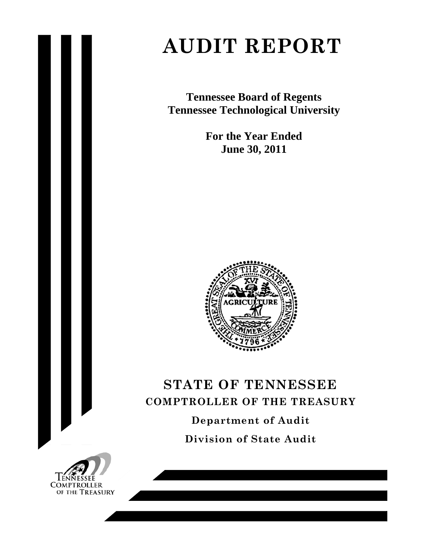# **AUDIT REPORT**

**Tennessee Board of Regents Tennessee Technological University** 

> **For the Year Ended June 30, 2011**



# **STATE OF TENNESSEE COMPTROLLER OF THE TREASURY Department of Audit**

**Division of State Audit** 

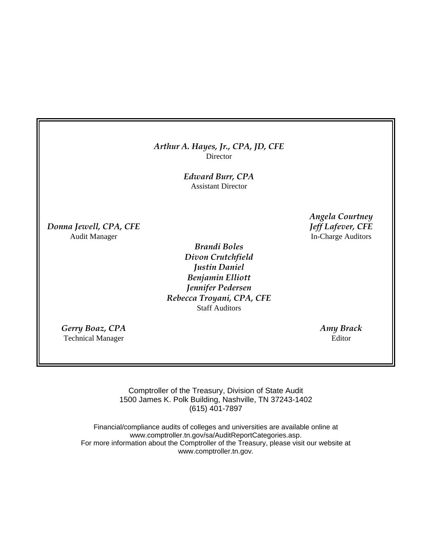#### *Arthur A. Hayes, Jr., CPA, JD, CFE* **Director**

*Edward Burr, CPA*  Assistant Director

*Donna Jewell, CPA, CFE*  Audit Manager **In-Charge Auditors** 

> *Brandi Boles Divon Crutchfield Justin Daniel Benjamin Elliott Jennifer Pedersen Rebecca Troyani, CPA, CFE* Staff Auditors

*Gerry Boaz, CPA Amy Brack*  Technical Manager Editor

*Angela Courtney Jeff Lafever, CFE* 

Comptroller of the Treasury, Division of State Audit 1500 James K. Polk Building, Nashville, TN 37243-1402 (615) 401-7897

Financial/compliance audits of colleges and universities are available online at www.comptroller.tn.gov/sa/AuditReportCategories.asp. For more information about the Comptroller of the Treasury, please visit our website at www.comptroller.tn.gov.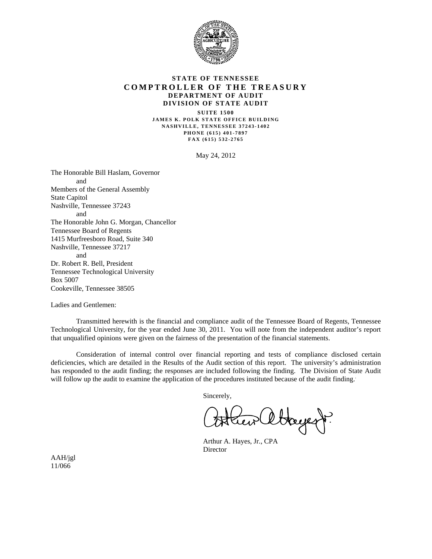

#### **STATE OF TENNESSEE COMPTROLLER OF THE TREASURY DEPARTMENT OF AUDIT DIVISION OF STATE AUDIT**

**SUITE 1500 JAMES K. POLK STATE OFFICE BUILDING NASHVILLE, TENNESSEE 37243-1402 PHONE (615) 401-7897 FAX (615) 532-2765** 

May 24, 2012

The Honorable Bill Haslam, Governor and Members of the General Assembly State Capitol Nashville, Tennessee 37243 and The Honorable John G. Morgan, Chancellor Tennessee Board of Regents 1415 Murfreesboro Road, Suite 340 Nashville, Tennessee 37217 and Dr. Robert R. Bell, President Tennessee Technological University Box 5007 Cookeville, Tennessee 38505

Ladies and Gentlemen:

 Transmitted herewith is the financial and compliance audit of the Tennessee Board of Regents, Tennessee Technological University, for the year ended June 30, 2011. You will note from the independent auditor's report that unqualified opinions were given on the fairness of the presentation of the financial statements.

 Consideration of internal control over financial reporting and tests of compliance disclosed certain deficiencies, which are detailed in the Results of the Audit section of this report. The university's administration has responded to the audit finding; the responses are included following the finding. The Division of State Audit will follow up the audit to examine the application of the procedures instituted because of the audit finding.

Sincerely,

Hayez P.

 Arthur A. Hayes, Jr., CPA Director

AAH/jgl 11/066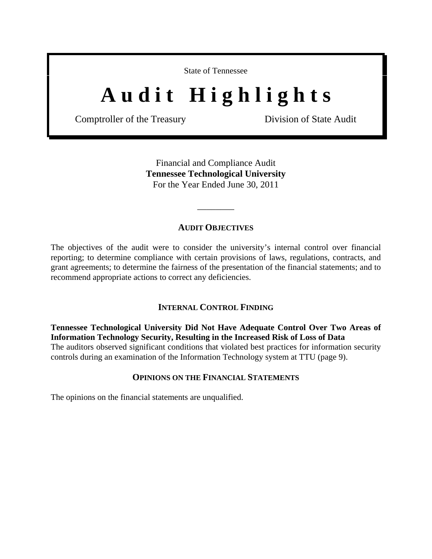State of Tennessee

# Audit Highlights

Comptroller of the Treasury Division of State Audit

Financial and Compliance Audit **Tennessee Technological University**  For the Year Ended June 30, 2011

## **AUDIT OBJECTIVES**

\_\_\_\_\_\_\_\_

The objectives of the audit were to consider the university's internal control over financial reporting; to determine compliance with certain provisions of laws, regulations, contracts, and grant agreements; to determine the fairness of the presentation of the financial statements; and to recommend appropriate actions to correct any deficiencies.

## **INTERNAL CONTROL FINDING**

**Tennessee Technological University Did Not Have Adequate Control Over Two Areas of Information Technology Security, Resulting in the Increased Risk of Loss of Data**  The auditors observed significant conditions that violated best practices for information security controls during an examination of the Information Technology system at TTU (page 9).

## **OPINIONS ON THE FINANCIAL STATEMENTS**

The opinions on the financial statements are unqualified.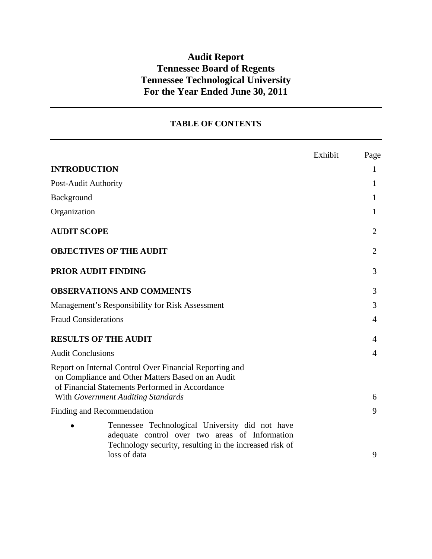# **Audit Report Tennessee Board of Regents Tennessee Technological University For the Year Ended June 30, 2011**

## **TABLE OF CONTENTS**

|                                                                                                                                                                 | Exhibit | Page |
|-----------------------------------------------------------------------------------------------------------------------------------------------------------------|---------|------|
| <b>INTRODUCTION</b>                                                                                                                                             |         | 1    |
| Post-Audit Authority                                                                                                                                            |         | 1    |
| <b>Background</b>                                                                                                                                               |         | 1    |
| Organization                                                                                                                                                    |         | 1    |
| <b>AUDIT SCOPE</b>                                                                                                                                              |         | 2    |
| <b>OBJECTIVES OF THE AUDIT</b>                                                                                                                                  |         | 2    |
| <b>PRIOR AUDIT FINDING</b>                                                                                                                                      |         | 3    |
| <b>OBSERVATIONS AND COMMENTS</b>                                                                                                                                |         | 3    |
| Management's Responsibility for Risk Assessment                                                                                                                 |         | 3    |
| <b>Fraud Considerations</b>                                                                                                                                     |         | 4    |
| <b>RESULTS OF THE AUDIT</b>                                                                                                                                     |         | 4    |
| <b>Audit Conclusions</b>                                                                                                                                        |         | 4    |
| Report on Internal Control Over Financial Reporting and<br>on Compliance and Other Matters Based on an Audit<br>of Financial Statements Performed in Accordance |         |      |
| With Government Auditing Standards                                                                                                                              |         | 6    |
| Finding and Recommendation                                                                                                                                      |         | 9    |
| Tennessee Technological University did not have<br>adequate control over two areas of Information                                                               |         |      |
| Technology security, resulting in the increased risk of<br>loss of data                                                                                         |         | 9    |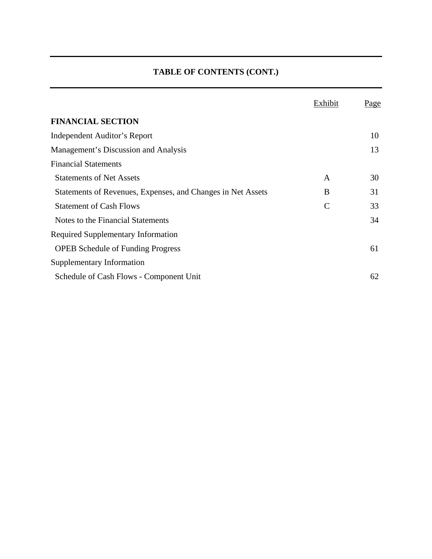## **TABLE OF CONTENTS (CONT.)**

|                                                             | Exhibit       | <u>Page</u> |
|-------------------------------------------------------------|---------------|-------------|
| <b>FINANCIAL SECTION</b>                                    |               |             |
| Independent Auditor's Report                                |               | 10          |
| Management's Discussion and Analysis                        |               | 13          |
| <b>Financial Statements</b>                                 |               |             |
| <b>Statements of Net Assets</b>                             | A             | 30          |
| Statements of Revenues, Expenses, and Changes in Net Assets | B             | 31          |
| <b>Statement of Cash Flows</b>                              | $\mathcal{C}$ | 33          |
| Notes to the Financial Statements                           |               | 34          |
| <b>Required Supplementary Information</b>                   |               |             |
| <b>OPEB</b> Schedule of Funding Progress                    |               | 61          |
| Supplementary Information                                   |               |             |
| Schedule of Cash Flows - Component Unit                     |               | 62          |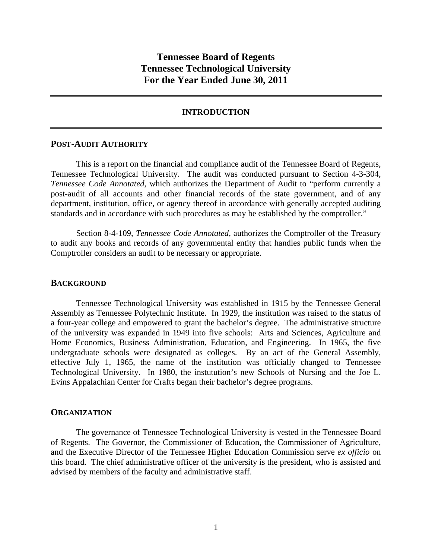## **Tennessee Board of Regents Tennessee Technological University For the Year Ended June 30, 2011**

#### **INTRODUCTION**

#### **POST-AUDIT AUTHORITY**

 This is a report on the financial and compliance audit of the Tennessee Board of Regents, Tennessee Technological University. The audit was conducted pursuant to Section 4-3-304, *Tennessee Code Annotated,* which authorizes the Department of Audit to "perform currently a post-audit of all accounts and other financial records of the state government, and of any department, institution, office, or agency thereof in accordance with generally accepted auditing standards and in accordance with such procedures as may be established by the comptroller."

 Section 8-4-109, *Tennessee Code Annotated,* authorizes the Comptroller of the Treasury to audit any books and records of any governmental entity that handles public funds when the Comptroller considers an audit to be necessary or appropriate.

#### **BACKGROUND**

 Tennessee Technological University was established in 1915 by the Tennessee General Assembly as Tennessee Polytechnic Institute. In 1929, the institution was raised to the status of a four-year college and empowered to grant the bachelor's degree. The administrative structure of the university was expanded in 1949 into five schools: Arts and Sciences, Agriculture and Home Economics, Business Administration, Education, and Engineering. In 1965, the five undergraduate schools were designated as colleges. By an act of the General Assembly, effective July 1, 1965, the name of the institution was officially changed to Tennessee Technological University. In 1980, the instutution's new Schools of Nursing and the Joe L. Evins Appalachian Center for Crafts began their bachelor's degree programs.

#### **ORGANIZATION**

 The governance of Tennessee Technological University is vested in the Tennessee Board of Regents. The Governor, the Commissioner of Education, the Commissioner of Agriculture, and the Executive Director of the Tennessee Higher Education Commission serve *ex officio* on this board. The chief administrative officer of the university is the president, who is assisted and advised by members of the faculty and administrative staff.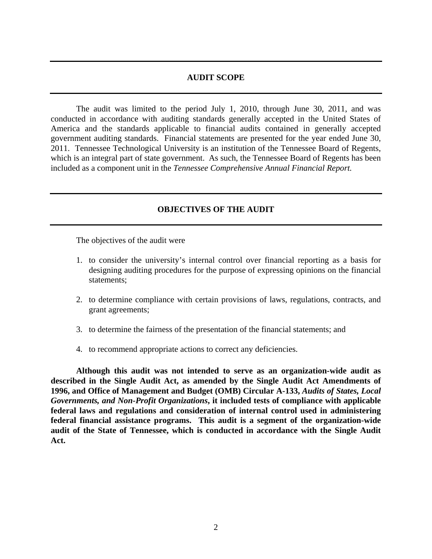## **AUDIT SCOPE**

 The audit was limited to the period July 1, 2010, through June 30, 2011, and was conducted in accordance with auditing standards generally accepted in the United States of America and the standards applicable to financial audits contained in generally accepted government auditing standards. Financial statements are presented for the year ended June 30, 2011. Tennessee Technological University is an institution of the Tennessee Board of Regents, which is an integral part of state government. As such, the Tennessee Board of Regents has been included as a component unit in the *Tennessee Comprehensive Annual Financial Report.* 

## **OBJECTIVES OF THE AUDIT**

The objectives of the audit were

- 1. to consider the university's internal control over financial reporting as a basis for designing auditing procedures for the purpose of expressing opinions on the financial statements;
- 2. to determine compliance with certain provisions of laws, regulations, contracts, and grant agreements;
- 3. to determine the fairness of the presentation of the financial statements; and
- 4. to recommend appropriate actions to correct any deficiencies.

**Although this audit was not intended to serve as an organization-wide audit as described in the Single Audit Act, as amended by the Single Audit Act Amendments of 1996, and Office of Management and Budget (OMB) Circular A-133,** *Audits of States, Local Governments, and Non-Profit Organizations***, it included tests of compliance with applicable federal laws and regulations and consideration of internal control used in administering federal financial assistance programs. This audit is a segment of the organization-wide audit of the State of Tennessee, which is conducted in accordance with the Single Audit Act.**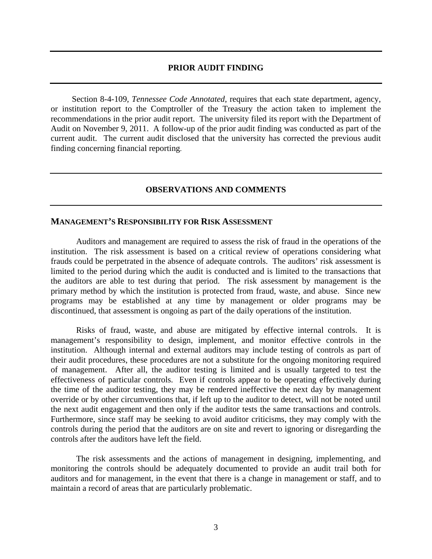#### **PRIOR AUDIT FINDING**

 Section 8-4-109*, Tennessee Code Annotated*, requires that each state department, agency, or institution report to the Comptroller of the Treasury the action taken to implement the recommendations in the prior audit report. The university filed its report with the Department of Audit on November 9, 2011. A follow-up of the prior audit finding was conducted as part of the current audit. The current audit disclosed that the university has corrected the previous audit finding concerning financial reporting.

#### **OBSERVATIONS AND COMMENTS**

#### **MANAGEMENT'S RESPONSIBILITY FOR RISK ASSESSMENT**

Auditors and management are required to assess the risk of fraud in the operations of the institution. The risk assessment is based on a critical review of operations considering what frauds could be perpetrated in the absence of adequate controls. The auditors' risk assessment is limited to the period during which the audit is conducted and is limited to the transactions that the auditors are able to test during that period. The risk assessment by management is the primary method by which the institution is protected from fraud, waste, and abuse. Since new programs may be established at any time by management or older programs may be discontinued, that assessment is ongoing as part of the daily operations of the institution.

Risks of fraud, waste, and abuse are mitigated by effective internal controls. It is management's responsibility to design, implement, and monitor effective controls in the institution. Although internal and external auditors may include testing of controls as part of their audit procedures, these procedures are not a substitute for the ongoing monitoring required of management. After all, the auditor testing is limited and is usually targeted to test the effectiveness of particular controls. Even if controls appear to be operating effectively during the time of the auditor testing, they may be rendered ineffective the next day by management override or by other circumventions that, if left up to the auditor to detect, will not be noted until the next audit engagement and then only if the auditor tests the same transactions and controls. Furthermore, since staff may be seeking to avoid auditor criticisms, they may comply with the controls during the period that the auditors are on site and revert to ignoring or disregarding the controls after the auditors have left the field.

The risk assessments and the actions of management in designing, implementing, and monitoring the controls should be adequately documented to provide an audit trail both for auditors and for management, in the event that there is a change in management or staff, and to maintain a record of areas that are particularly problematic.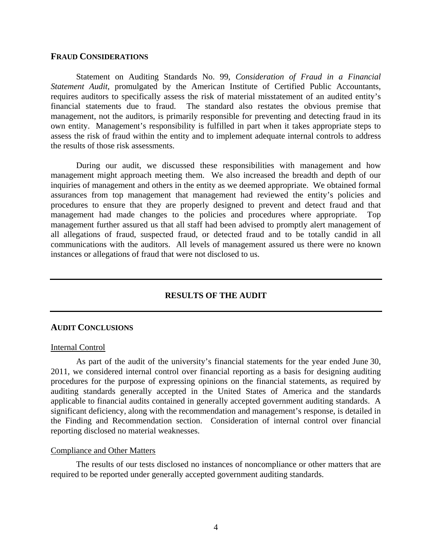#### **FRAUD CONSIDERATIONS**

 Statement on Auditing Standards No. 99, *Consideration of Fraud in a Financial Statement Audit*, promulgated by the American Institute of Certified Public Accountants, requires auditors to specifically assess the risk of material misstatement of an audited entity's financial statements due to fraud. The standard also restates the obvious premise that management, not the auditors, is primarily responsible for preventing and detecting fraud in its own entity. Management's responsibility is fulfilled in part when it takes appropriate steps to assess the risk of fraud within the entity and to implement adequate internal controls to address the results of those risk assessments.

 During our audit, we discussed these responsibilities with management and how management might approach meeting them. We also increased the breadth and depth of our inquiries of management and others in the entity as we deemed appropriate. We obtained formal assurances from top management that management had reviewed the entity's policies and procedures to ensure that they are properly designed to prevent and detect fraud and that management had made changes to the policies and procedures where appropriate. Top management further assured us that all staff had been advised to promptly alert management of all allegations of fraud, suspected fraud, or detected fraud and to be totally candid in all communications with the auditors. All levels of management assured us there were no known instances or allegations of fraud that were not disclosed to us.

#### **RESULTS OF THE AUDIT**

#### **AUDIT CONCLUSIONS**

#### Internal Control

 As part of the audit of the university's financial statements for the year ended June 30, 2011, we considered internal control over financial reporting as a basis for designing auditing procedures for the purpose of expressing opinions on the financial statements, as required by auditing standards generally accepted in the United States of America and the standards applicable to financial audits contained in generally accepted government auditing standards. A significant deficiency, along with the recommendation and management's response, is detailed in the Finding and Recommendation section. Consideration of internal control over financial reporting disclosed no material weaknesses.

#### Compliance and Other Matters

 The results of our tests disclosed no instances of noncompliance or other matters that are required to be reported under generally accepted government auditing standards.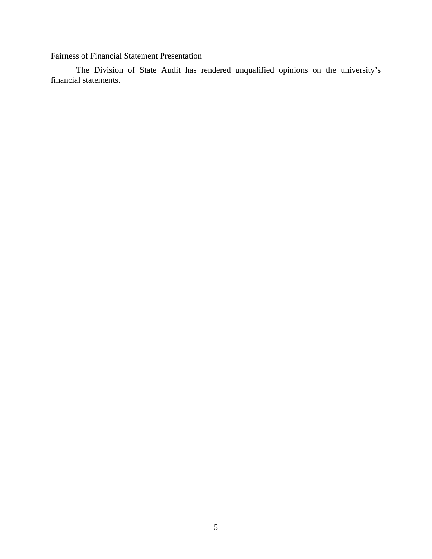# Fairness of Financial Statement Presentation

 The Division of State Audit has rendered unqualified opinions on the university's financial statements.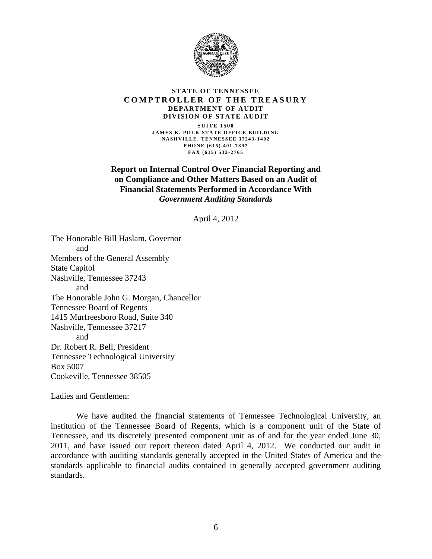

#### **STATE OF TENNESSEE COMPTROLLER OF THE TREASURY DEPARTMENT OF AUDIT DIVISION OF STATE AUDIT**

**SUITE 1500 JAMES K. POLK STATE OFFICE BUILDING NASHVILLE, TENNESSEE 37243-1402 PHONE (615) 401-7897 FAX (615) 532-2765** 

**Report on Internal Control Over Financial Reporting and on Compliance and Other Matters Based on an Audit of Financial Statements Performed in Accordance With**  *Government Auditing Standards* 

April 4, 2012

The Honorable Bill Haslam, Governor and Members of the General Assembly State Capitol Nashville, Tennessee 37243 and The Honorable John G. Morgan, Chancellor Tennessee Board of Regents 1415 Murfreesboro Road, Suite 340 Nashville, Tennessee 37217 and Dr. Robert R. Bell, President Tennessee Technological University Box 5007 Cookeville, Tennessee 38505

Ladies and Gentlemen:

 We have audited the financial statements of Tennessee Technological University, an institution of the Tennessee Board of Regents, which is a component unit of the State of Tennessee, and its discretely presented component unit as of and for the year ended June 30, 2011, and have issued our report thereon dated April 4, 2012. We conducted our audit in accordance with auditing standards generally accepted in the United States of America and the standards applicable to financial audits contained in generally accepted government auditing standards.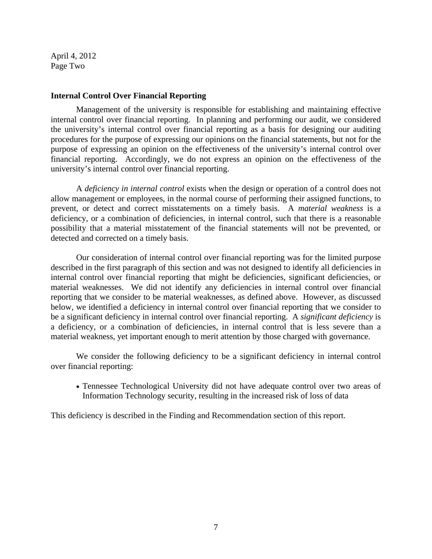April 4, 2012 Page Two

#### **Internal Control Over Financial Reporting**

 Management of the university is responsible for establishing and maintaining effective internal control over financial reporting. In planning and performing our audit, we considered the university's internal control over financial reporting as a basis for designing our auditing procedures for the purpose of expressing our opinions on the financial statements, but not for the purpose of expressing an opinion on the effectiveness of the university's internal control over financial reporting. Accordingly, we do not express an opinion on the effectiveness of the university's internal control over financial reporting.

A *deficiency in internal control* exists when the design or operation of a control does not allow management or employees, in the normal course of performing their assigned functions, to prevent, or detect and correct misstatements on a timely basis. A *material weakness* is a deficiency, or a combination of deficiencies, in internal control, such that there is a reasonable possibility that a material misstatement of the financial statements will not be prevented, or detected and corrected on a timely basis.

Our consideration of internal control over financial reporting was for the limited purpose described in the first paragraph of this section and was not designed to identify all deficiencies in internal control over financial reporting that might be deficiencies, significant deficiencies, or material weaknesses. We did not identify any deficiencies in internal control over financial reporting that we consider to be material weaknesses, as defined above. However, as discussed below, we identified a deficiency in internal control over financial reporting that we consider to be a significant deficiency in internal control over financial reporting. A *significant deficiency* is a deficiency, or a combination of deficiencies, in internal control that is less severe than a material weakness, yet important enough to merit attention by those charged with governance.

 We consider the following deficiency to be a significant deficiency in internal control over financial reporting:

 Tennessee Technological University did not have adequate control over two areas of Information Technology security, resulting in the increased risk of loss of data

This deficiency is described in the Finding and Recommendation section of this report.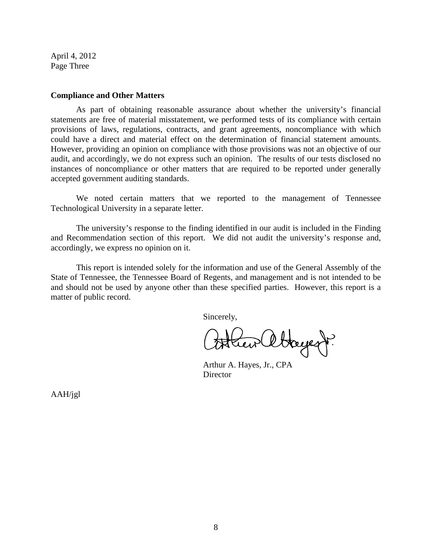April 4, 2012 Page Three

#### **Compliance and Other Matters**

 As part of obtaining reasonable assurance about whether the university's financial statements are free of material misstatement, we performed tests of its compliance with certain provisions of laws, regulations, contracts, and grant agreements, noncompliance with which could have a direct and material effect on the determination of financial statement amounts. However, providing an opinion on compliance with those provisions was not an objective of our audit, and accordingly, we do not express such an opinion. The results of our tests disclosed no instances of noncompliance or other matters that are required to be reported under generally accepted government auditing standards.

 We noted certain matters that we reported to the management of Tennessee Technological University in a separate letter.

 The university's response to the finding identified in our audit is included in the Finding and Recommendation section of this report. We did not audit the university's response and, accordingly, we express no opinion on it.

This report is intended solely for the information and use of the General Assembly of the State of Tennessee, the Tennessee Board of Regents, and management and is not intended to be and should not be used by anyone other than these specified parties. However, this report is a matter of public record.

Sincerely,

attagent.

 Arthur A. Hayes, Jr., CPA **Director** 

AAH/jgl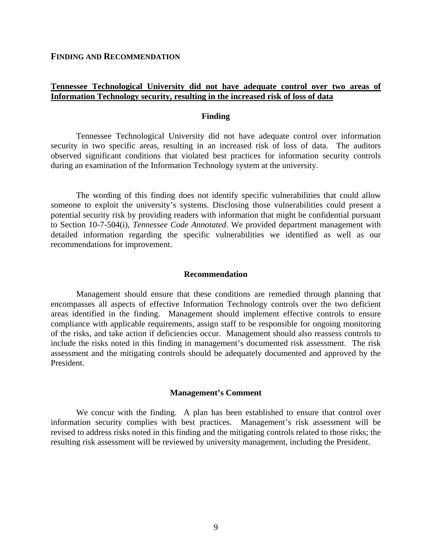**FINDING AND RECOMMENDATION**

## **Tennessee Technological University did not have adequate control over two areas of Information Technology security, resulting in the increased risk of loss of data**

#### **Finding**

Tennessee Technological University did not have adequate control over information security in two specific areas, resulting in an increased risk of loss of data. The auditors observed significant conditions that violated best practices for information security controls during an examination of the Information Technology system at the university.

The wording of this finding does not identify specific vulnerabilities that could allow someone to exploit the university's systems. Disclosing those vulnerabilities could present a potential security risk by providing readers with information that might be confidential pursuant to Section 10-7-504(i), *Tennessee Code Annotated*. We provided department management with detailed information regarding the specific vulnerabilities we identified as well as our recommendations for improvement.

#### **Recommendation**

Management should ensure that these conditions are remedied through planning that encompasses all aspects of effective Information Technology controls over the two deficient areas identified in the finding. Management should implement effective controls to ensure compliance with applicable requirements, assign staff to be responsible for ongoing monitoring of the risks, and take action if deficiencies occur. Management should also reassess controls to include the risks noted in this finding in management's documented risk assessment. The risk assessment and the mitigating controls should be adequately documented and approved by the President.

#### **Management's Comment**

 We concur with the finding. A plan has been established to ensure that control over information security complies with best practices. Management's risk assessment will be revised to address risks noted in this finding and the mitigating controls related to those risks; the resulting risk assessment will be reviewed by university management, including the President.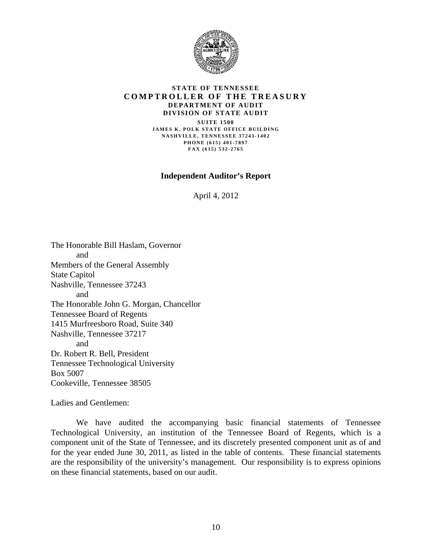

#### **STATE OF TENNESSEE COMPTROLLER OF THE TREASURY DEPARTMENT OF AUDIT DIVISION OF STATE AUDIT**

**SUITE 1500 JAMES K. POLK STATE OFFICE BUILDING NASHVILLE, TENNESSEE 37243-1402 PHONE (615) 401-7897 FAX (615) 532-2765** 

#### **Independent Auditor's Report**

April 4, 2012

The Honorable Bill Haslam, Governor and Members of the General Assembly State Capitol Nashville, Tennessee 37243 and The Honorable John G. Morgan, Chancellor Tennessee Board of Regents 1415 Murfreesboro Road, Suite 340 Nashville, Tennessee 37217 and Dr. Robert R. Bell, President Tennessee Technological University Box 5007 Cookeville, Tennessee 38505

Ladies and Gentlemen:

 We have audited the accompanying basic financial statements of Tennessee Technological University, an institution of the Tennessee Board of Regents, which is a component unit of the State of Tennessee, and its discretely presented component unit as of and for the year ended June 30, 2011, as listed in the table of contents. These financial statements are the responsibility of the university's management. Our responsibility is to express opinions on these financial statements, based on our audit.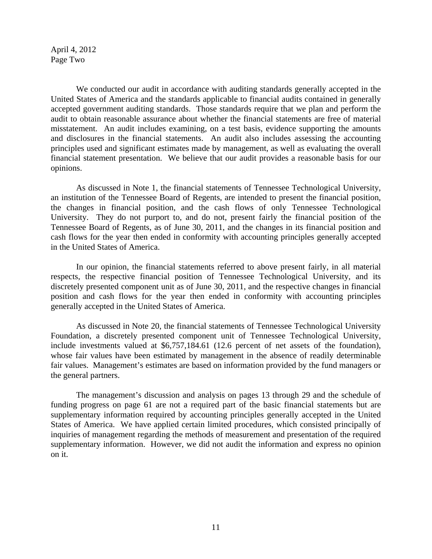April 4, 2012 Page Two

We conducted our audit in accordance with auditing standards generally accepted in the United States of America and the standards applicable to financial audits contained in generally accepted government auditing standards. Those standards require that we plan and perform the audit to obtain reasonable assurance about whether the financial statements are free of material misstatement. An audit includes examining, on a test basis, evidence supporting the amounts and disclosures in the financial statements. An audit also includes assessing the accounting principles used and significant estimates made by management, as well as evaluating the overall financial statement presentation. We believe that our audit provides a reasonable basis for our opinions.

As discussed in Note 1, the financial statements of Tennessee Technological University, an institution of the Tennessee Board of Regents, are intended to present the financial position, the changes in financial position, and the cash flows of only Tennessee Technological University. They do not purport to, and do not, present fairly the financial position of the Tennessee Board of Regents, as of June 30, 2011, and the changes in its financial position and cash flows for the year then ended in conformity with accounting principles generally accepted in the United States of America.

 In our opinion, the financial statements referred to above present fairly, in all material respects, the respective financial position of Tennessee Technological University, and its discretely presented component unit as of June 30, 2011, and the respective changes in financial position and cash flows for the year then ended in conformity with accounting principles generally accepted in the United States of America.

 As discussed in Note 20, the financial statements of Tennessee Technological University Foundation, a discretely presented component unit of Tennessee Technological University, include investments valued at \$6,757,184.61 (12.6 percent of net assets of the foundation), whose fair values have been estimated by management in the absence of readily determinable fair values. Management's estimates are based on information provided by the fund managers or the general partners.

 The management's discussion and analysis on pages 13 through 29 and the schedule of funding progress on page 61 are not a required part of the basic financial statements but are supplementary information required by accounting principles generally accepted in the United States of America. We have applied certain limited procedures, which consisted principally of inquiries of management regarding the methods of measurement and presentation of the required supplementary information. However, we did not audit the information and express no opinion on it.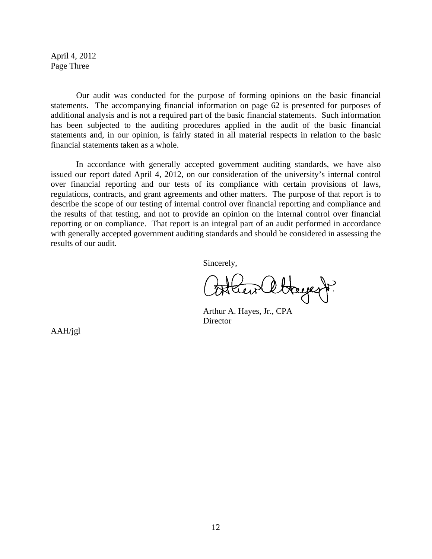April 4, 2012 Page Three

 Our audit was conducted for the purpose of forming opinions on the basic financial statements. The accompanying financial information on page 62 is presented for purposes of additional analysis and is not a required part of the basic financial statements. Such information has been subjected to the auditing procedures applied in the audit of the basic financial statements and, in our opinion, is fairly stated in all material respects in relation to the basic financial statements taken as a whole.

In accordance with generally accepted government auditing standards, we have also issued our report dated April 4, 2012, on our consideration of the university's internal control over financial reporting and our tests of its compliance with certain provisions of laws, regulations, contracts, and grant agreements and other matters. The purpose of that report is to describe the scope of our testing of internal control over financial reporting and compliance and the results of that testing, and not to provide an opinion on the internal control over financial reporting or on compliance. That report is an integral part of an audit performed in accordance with generally accepted government auditing standards and should be considered in assessing the results of our audit.

Sincerely,

Abbayez P.

 Arthur A. Hayes, Jr., CPA **Director** 

AAH/jgl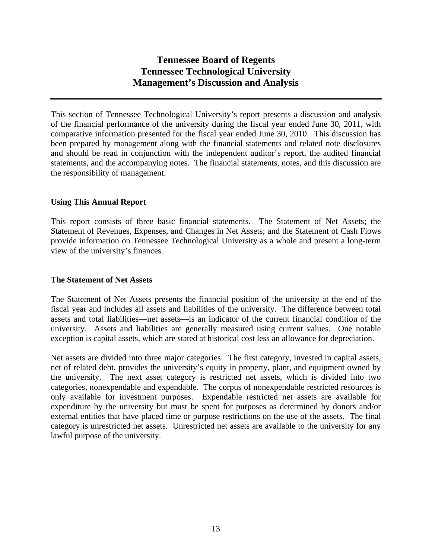This section of Tennessee Technological University's report presents a discussion and analysis of the financial performance of the university during the fiscal year ended June 30, 2011, with comparative information presented for the fiscal year ended June 30, 2010. This discussion has been prepared by management along with the financial statements and related note disclosures and should be read in conjunction with the independent auditor's report, the audited financial statements, and the accompanying notes. The financial statements, notes, and this discussion are the responsibility of management.

## **Using This Annual Report**

This report consists of three basic financial statements. The Statement of Net Assets; the Statement of Revenues, Expenses, and Changes in Net Assets; and the Statement of Cash Flows provide information on Tennessee Technological University as a whole and present a long-term view of the university's finances.

## **The Statement of Net Assets**

The Statement of Net Assets presents the financial position of the university at the end of the fiscal year and includes all assets and liabilities of the university. The difference between total assets and total liabilities—net assets—is an indicator of the current financial condition of the university. Assets and liabilities are generally measured using current values. One notable exception is capital assets, which are stated at historical cost less an allowance for depreciation.

Net assets are divided into three major categories. The first category, invested in capital assets, net of related debt, provides the university's equity in property, plant, and equipment owned by the university. The next asset category is restricted net assets, which is divided into two categories, nonexpendable and expendable. The corpus of nonexpendable restricted resources is only available for investment purposes. Expendable restricted net assets are available for expenditure by the university but must be spent for purposes as determined by donors and/or external entities that have placed time or purpose restrictions on the use of the assets. The final category is unrestricted net assets. Unrestricted net assets are available to the university for any lawful purpose of the university.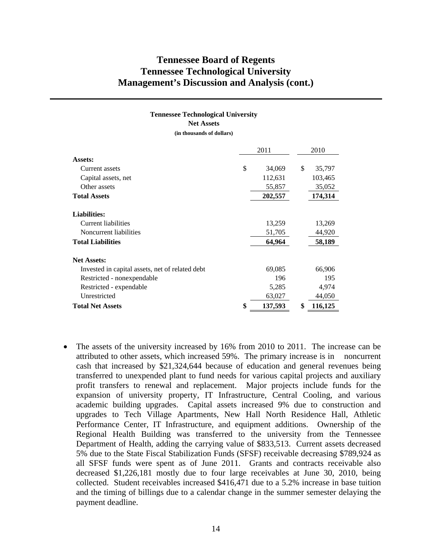#### **Tennessee Technological University Net Assets**

**(in thousands of dollars)** 

|                                                 | 2011 |         | 2010 |         |
|-------------------------------------------------|------|---------|------|---------|
| Assets:                                         |      |         |      |         |
| Current assets                                  | \$   | 34,069  | \$   | 35,797  |
| Capital assets, net                             |      | 112,631 |      | 103,465 |
| Other assets                                    |      | 55,857  |      | 35,052  |
| <b>Total Assets</b>                             |      | 202,557 |      | 174,314 |
| <b>Liabilities:</b>                             |      |         |      |         |
| Current liabilities                             |      | 13,259  |      | 13,269  |
| Noncurrent liabilities                          |      | 51,705  |      | 44,920  |
| <b>Total Liabilities</b>                        |      | 64,964  |      | 58,189  |
| <b>Net Assets:</b>                              |      |         |      |         |
| Invested in capital assets, net of related debt |      | 69,085  |      | 66,906  |
| Restricted - nonexpendable                      |      | 196     |      | 195     |
| Restricted - expendable                         |      | 5,285   |      | 4,974   |
| Unrestricted                                    |      | 63,027  |      | 44,050  |
| <b>Total Net Assets</b>                         | \$   | 137,593 | \$   | 116,125 |

• The assets of the university increased by 16% from 2010 to 2011. The increase can be attributed to other assets, which increased 59%. The primary increase is in noncurrent cash that increased by \$21,324,644 because of education and general revenues being transferred to unexpended plant to fund needs for various capital projects and auxiliary profit transfers to renewal and replacement. Major projects include funds for the expansion of university property, IT Infrastructure, Central Cooling, and various academic building upgrades. Capital assets increased 9% due to construction and upgrades to Tech Village Apartments, New Hall North Residence Hall, Athletic Performance Center, IT Infrastructure, and equipment additions. Ownership of the Regional Health Building was transferred to the university from the Tennessee Department of Health, adding the carrying value of \$833,513. Current assets decreased 5% due to the State Fiscal Stabilization Funds (SFSF) receivable decreasing \$789,924 as all SFSF funds were spent as of June 2011. Grants and contracts receivable also decreased \$1,226,181 mostly due to four large receivables at June 30, 2010, being collected. Student receivables increased \$416,471 due to a 5.2% increase in base tuition and the timing of billings due to a calendar change in the summer semester delaying the payment deadline.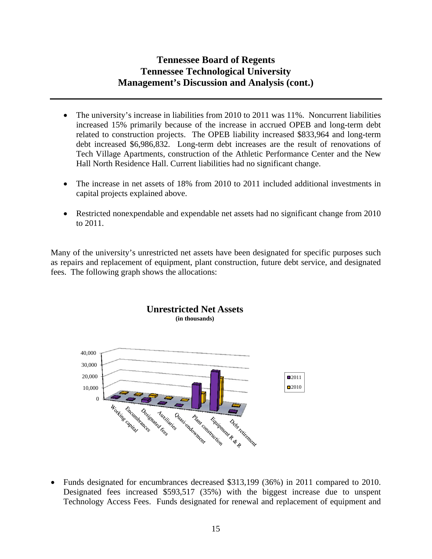- The university's increase in liabilities from 2010 to 2011 was 11%. Noncurrent liabilities increased 15% primarily because of the increase in accrued OPEB and long-term debt related to construction projects. The OPEB liability increased \$833,964 and long-term debt increased \$6,986,832. Long-term debt increases are the result of renovations of Tech Village Apartments, construction of the Athletic Performance Center and the New Hall North Residence Hall. Current liabilities had no significant change.
- The increase in net assets of 18% from 2010 to 2011 included additional investments in capital projects explained above.
- Restricted nonexpendable and expendable net assets had no significant change from 2010 to 2011.

Many of the university's unrestricted net assets have been designated for specific purposes such as repairs and replacement of equipment, plant construction, future debt service, and designated fees. The following graph shows the allocations:



**Unrestricted Net Assets (in thousands)**

 Funds designated for encumbrances decreased \$313,199 (36%) in 2011 compared to 2010. Designated fees increased \$593,517 (35%) with the biggest increase due to unspent Technology Access Fees. Funds designated for renewal and replacement of equipment and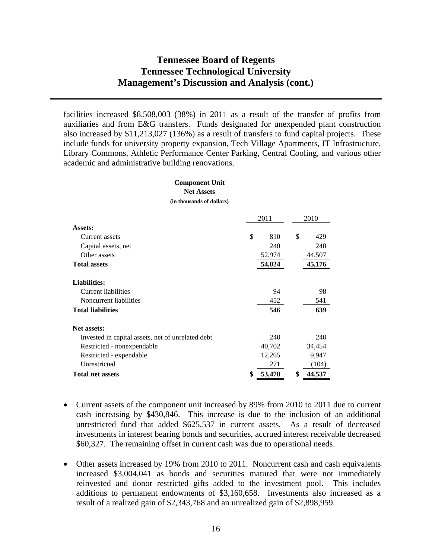facilities increased \$8,508,003 (38%) in 2011 as a result of the transfer of profits from auxiliaries and from E&G transfers. Funds designated for unexpended plant construction also increased by \$11,213,027 (136%) as a result of transfers to fund capital projects. These include funds for university property expansion, Tech Village Apartments, IT Infrastructure, Library Commons, Athletic Performance Center Parking, Central Cooling, and various other academic and administrative building renovations.

| Component Umt<br><b>Net Assets</b>                |              |              |
|---------------------------------------------------|--------------|--------------|
| (in thousands of dollars)                         |              |              |
|                                                   | 2011         | 2010         |
| Assets:                                           |              |              |
| Current assets                                    | \$<br>810    | \$<br>429    |
| Capital assets, net                               | 240          | 240          |
| Other assets                                      | 52,974       | 44,507       |
| <b>Total assets</b>                               | 54,024       | 45,176       |
| <b>Liabilities:</b>                               |              |              |
| <b>Current liabilities</b>                        | 94           | 98           |
| Noncurrent liabilities                            | 452          | 541          |
| <b>Total liabilities</b>                          | 546          | 639          |
| <b>Net assets:</b>                                |              |              |
| Invested in capital assets, net of unrelated debt | 240          | 240          |
| Restricted - nonexpendable                        | 40,702       | 34,454       |
| Restricted - expendable                           | 12,265       | 9,947        |
| Unrestricted                                      | 271          | (104)        |
| <b>Total net assets</b>                           | \$<br>53,478 | \$<br>44,537 |

**Component Unit** 

- Current assets of the component unit increased by 89% from 2010 to 2011 due to current cash increasing by \$430,846. This increase is due to the inclusion of an additional unrestricted fund that added \$625,537 in current assets. As a result of decreased investments in interest bearing bonds and securities, accrued interest receivable decreased \$60,327. The remaining offset in current cash was due to operational needs.
- Other assets increased by 19% from 2010 to 2011. Noncurrent cash and cash equivalents increased \$3,004,041 as bonds and securities matured that were not immediately reinvested and donor restricted gifts added to the investment pool. This includes additions to permanent endowments of \$3,160,658. Investments also increased as a result of a realized gain of \$2,343,768 and an unrealized gain of \$2,898,959.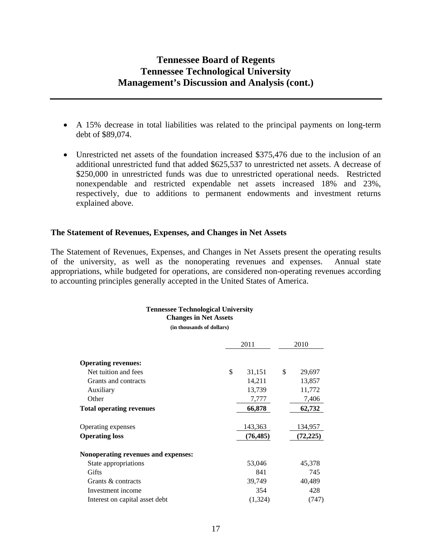- A 15% decrease in total liabilities was related to the principal payments on long-term debt of \$89,074.
- Unrestricted net assets of the foundation increased \$375,476 due to the inclusion of an additional unrestricted fund that added \$625,537 to unrestricted net assets. A decrease of \$250,000 in unrestricted funds was due to unrestricted operational needs. Restricted nonexpendable and restricted expendable net assets increased 18% and 23%, respectively, due to additions to permanent endowments and investment returns explained above.

#### **The Statement of Revenues, Expenses, and Changes in Net Assets**

The Statement of Revenues, Expenses, and Changes in Net Assets present the operating results of the university, as well as the nonoperating revenues and expenses. Annual state appropriations, while budgeted for operations, are considered non-operating revenues according to accounting principles generally accepted in the United States of America.

## **Tennessee Technological University Changes in Net Assets**

**(in thousands of dollars)** 

|                                     | 2011 |           | 2010         |
|-------------------------------------|------|-----------|--------------|
| <b>Operating revenues:</b>          |      |           |              |
| Net tuition and fees                | \$   | 31,151    | \$<br>29,697 |
| Grants and contracts                |      | 14,211    | 13,857       |
| Auxiliary                           |      | 13,739    | 11,772       |
| Other                               |      | 7,777     | 7,406        |
| <b>Total operating revenues</b>     |      | 66,878    | 62,732       |
| Operating expenses                  |      | 143,363   | 134,957      |
| <b>Operating loss</b>               |      | (76, 485) | (72, 225)    |
| Nonoperating revenues and expenses: |      |           |              |
| State appropriations                |      | 53,046    | 45,378       |
| Gifts                               |      | 841       | 745          |
| Grants & contracts                  |      | 39,749    | 40,489       |
| Investment income                   |      | 354       | 428          |
| Interest on capital asset debt      |      | (1,324)   | (747)        |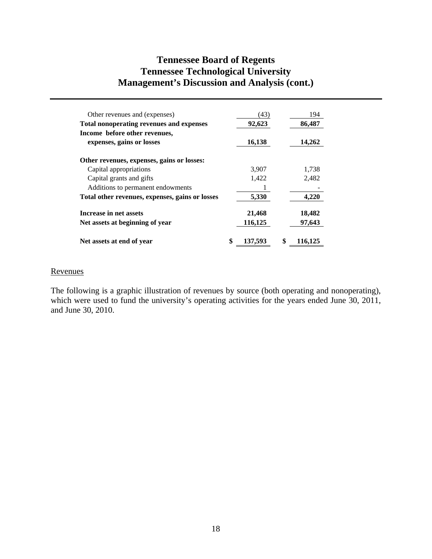| Other revenues and (expenses)                   | (43)          | 194           |
|-------------------------------------------------|---------------|---------------|
| Total nonoperating revenues and expenses        | 92,623        | 86,487        |
| Income before other revenues,                   |               |               |
| expenses, gains or losses                       | 16,138        | 14,262        |
| Other revenues, expenses, gains or losses:      |               |               |
| Capital appropriations                          | 3,907         | 1,738         |
| Capital grants and gifts                        | 1,422         | 2,482         |
| Additions to permanent endowments               |               |               |
| Total other revenues, expenses, gains or losses | 5,330         | 4,220         |
| Increase in net assets                          | 21,468        | 18,482        |
| Net assets at beginning of year                 | 116,125       | 97,643        |
| Net assets at end of year                       | \$<br>137,593 | \$<br>116,125 |

## Revenues

The following is a graphic illustration of revenues by source (both operating and nonoperating), which were used to fund the university's operating activities for the years ended June 30, 2011, and June 30, 2010.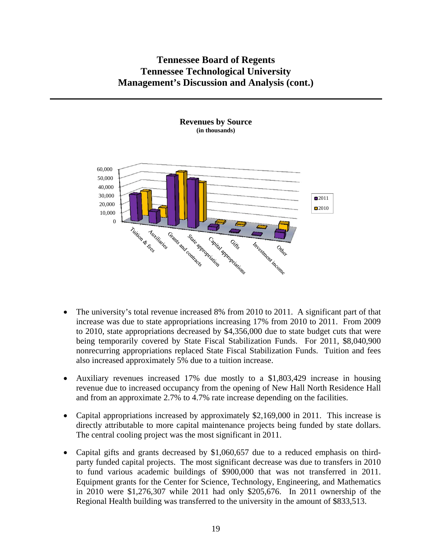

- The university's total revenue increased 8% from 2010 to 2011. A significant part of that increase was due to state appropriations increasing 17% from 2010 to 2011. From 2009 to 2010, state appropriations decreased by \$4,356,000 due to state budget cuts that were being temporarily covered by State Fiscal Stabilization Funds. For 2011, \$8,040,900 nonrecurring appropriations replaced State Fiscal Stabilization Funds. Tuition and fees also increased approximately 5% due to a tuition increase.
- Auxiliary revenues increased 17% due mostly to a \$1,803,429 increase in housing revenue due to increased occupancy from the opening of New Hall North Residence Hall and from an approximate 2.7% to 4.7% rate increase depending on the facilities.
- Capital appropriations increased by approximately \$2,169,000 in 2011. This increase is directly attributable to more capital maintenance projects being funded by state dollars. The central cooling project was the most significant in 2011.
- Capital gifts and grants decreased by \$1,060,657 due to a reduced emphasis on thirdparty funded capital projects. The most significant decrease was due to transfers in 2010 to fund various academic buildings of \$900,000 that was not transferred in 2011. Equipment grants for the Center for Science, Technology, Engineering, and Mathematics in 2010 were \$1,276,307 while 2011 had only \$205,676. In 2011 ownership of the Regional Health building was transferred to the university in the amount of \$833,513.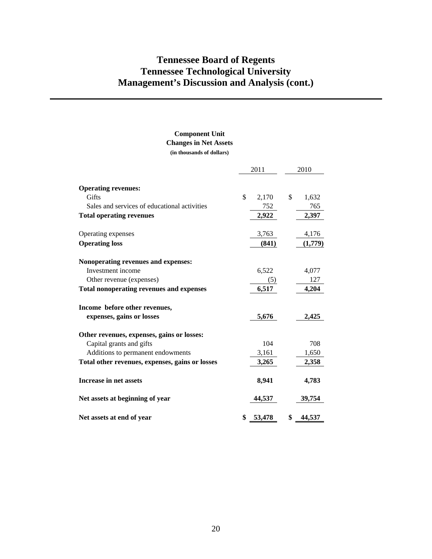## **Component Unit Changes in Net Assets**

**(in thousands of dollars)** 

|                                                 | 2011 |        | 2010         |  |
|-------------------------------------------------|------|--------|--------------|--|
| <b>Operating revenues:</b>                      |      |        |              |  |
| Gifts                                           | \$   | 2,170  | \$<br>1,632  |  |
| Sales and services of educational activities    |      | 752    | 765          |  |
|                                                 |      |        |              |  |
| <b>Total operating revenues</b>                 |      | 2,922  | 2,397        |  |
| Operating expenses                              |      | 3,763  | 4,176        |  |
| <b>Operating loss</b>                           |      | (841)  | (1,779)      |  |
| Nonoperating revenues and expenses:             |      |        |              |  |
| Investment income                               |      | 6,522  | 4,077        |  |
| Other revenue (expenses)                        |      | (5)    | 127          |  |
| Total nonoperating revenues and expenses        |      | 6,517  | 4,204        |  |
| Income before other revenues,                   |      |        |              |  |
| expenses, gains or losses                       |      | 5,676  | 2,425        |  |
| Other revenues, expenses, gains or losses:      |      |        |              |  |
| Capital grants and gifts                        |      | 104    | 708          |  |
| Additions to permanent endowments               |      | 3,161  | 1,650        |  |
| Total other revenues, expenses, gains or losses |      | 3,265  | 2,358        |  |
| <b>Increase in net assets</b>                   |      | 8,941  | 4,783        |  |
| Net assets at beginning of year                 |      | 44,537 | 39,754       |  |
| Net assets at end of year                       | \$   | 53,478 | \$<br>44,537 |  |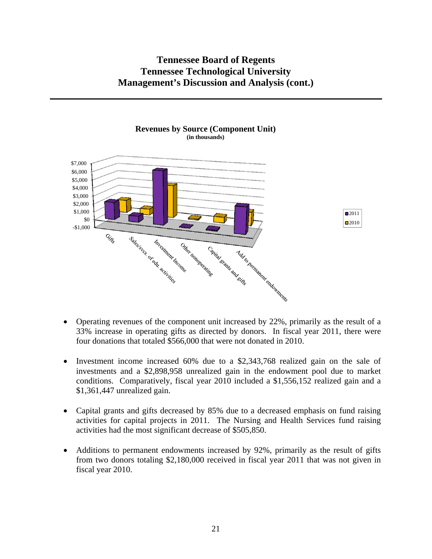

#### **Revenues by Source (Component Unit) (in thousands)**

- Operating revenues of the component unit increased by 22%, primarily as the result of a 33% increase in operating gifts as directed by donors. In fiscal year 2011, there were four donations that totaled \$566,000 that were not donated in 2010.
- Investment income increased 60% due to a \$2,343,768 realized gain on the sale of investments and a \$2,898,958 unrealized gain in the endowment pool due to market conditions. Comparatively, fiscal year 2010 included a \$1,556,152 realized gain and a \$1,361,447 unrealized gain.
- Capital grants and gifts decreased by 85% due to a decreased emphasis on fund raising activities for capital projects in 2011. The Nursing and Health Services fund raising activities had the most significant decrease of \$505,850.
- Additions to permanent endowments increased by 92%, primarily as the result of gifts from two donors totaling \$2,180,000 received in fiscal year 2011 that was not given in fiscal year 2010.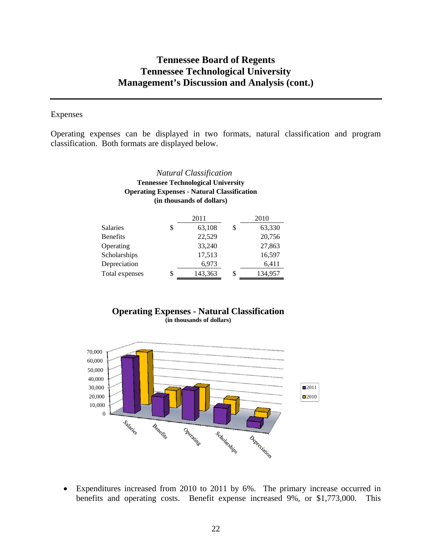#### Expenses

Operating expenses can be displayed in two formats, natural classification and program classification. Both formats are displayed below.

## *Natural Classification*  **Tennessee Technological University Operating Expenses - Natural Classification (in thousands of dollars)**

|                | 2011          | 2010          |
|----------------|---------------|---------------|
| Salaries       | \$<br>63,108  | \$<br>63,330  |
| Benefits       | 22,529        | 20,756        |
| Operating      | 33,240        | 27,863        |
| Scholarships   | 17,513        | 16,597        |
| Depreciation   | 6,973         | 6,411         |
| Total expenses | \$<br>143,363 | \$<br>134,957 |

#### **Operating Expenses - Natural Classification (in thousands of dollars)**



 Expenditures increased from 2010 to 2011 by 6%. The primary increase occurred in benefits and operating costs. Benefit expense increased 9%, or \$1,773,000. This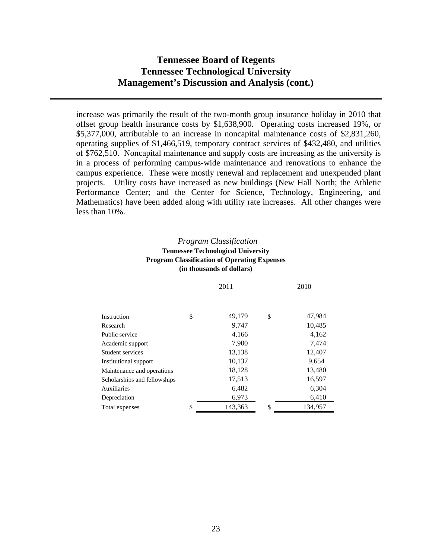increase was primarily the result of the two-month group insurance holiday in 2010 that offset group health insurance costs by \$1,638,900. Operating costs increased 19%, or \$5,377,000, attributable to an increase in noncapital maintenance costs of \$2,831,260, operating supplies of \$1,466,519, temporary contract services of \$432,480, and utilities of \$762,510. Noncapital maintenance and supply costs are increasing as the university is in a process of performing campus-wide maintenance and renovations to enhance the campus experience. These were mostly renewal and replacement and unexpended plant projects. Utility costs have increased as new buildings (New Hall North; the Athletic Performance Center; and the Center for Science, Technology, Engineering, and Mathematics) have been added along with utility rate increases. All other changes were less than 10%.

#### *Program Classification*  **Tennessee Technological University Program Classification of Operating Expenses (in thousands of dollars)**

|                              | 2011 |         | 2010          |
|------------------------------|------|---------|---------------|
|                              |      |         |               |
| Instruction                  | \$   | 49,179  | \$<br>47,984  |
| Research                     |      | 9,747   | 10,485        |
| Public service               |      | 4,166   | 4,162         |
| Academic support             |      | 7,900   | 7,474         |
| Student services             |      | 13,138  | 12,407        |
| Institutional support        |      | 10,137  | 9,654         |
| Maintenance and operations   |      | 18,128  | 13,480        |
| Scholarships and fellowships |      | 17,513  | 16,597        |
| Auxiliaries                  |      | 6,482   | 6,304         |
| Depreciation                 |      | 6,973   | 6,410         |
| Total expenses               | \$   | 143,363 | \$<br>134,957 |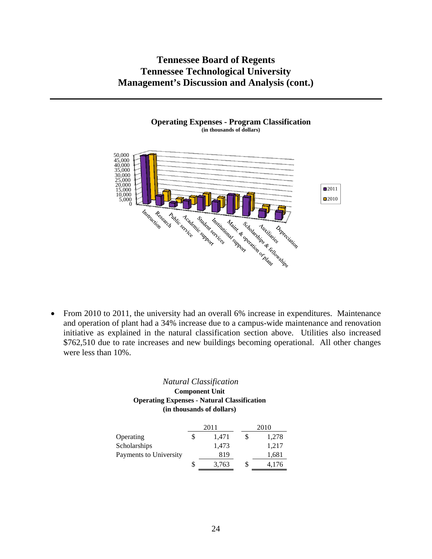

**Operating Expenses - Program Classification**

• From 2010 to 2011, the university had an overall 6% increase in expenditures. Maintenance and operation of plant had a 34% increase due to a campus-wide maintenance and renovation initiative as explained in the natural classification section above. Utilities also increased \$762,510 due to rate increases and new buildings becoming operational. All other changes were less than 10%.

#### *Natural Classification*

#### **Component Unit Operating Expenses - Natural Classification (in thousands of dollars)**

|                        | 2011 |       | 2010  |
|------------------------|------|-------|-------|
| Operating              | S    | 1.471 | 1,278 |
| Scholarships           |      | 1.473 | 1,217 |
| Payments to University |      | 819   | 1,681 |
|                        | S    | 3,763 | 4.176 |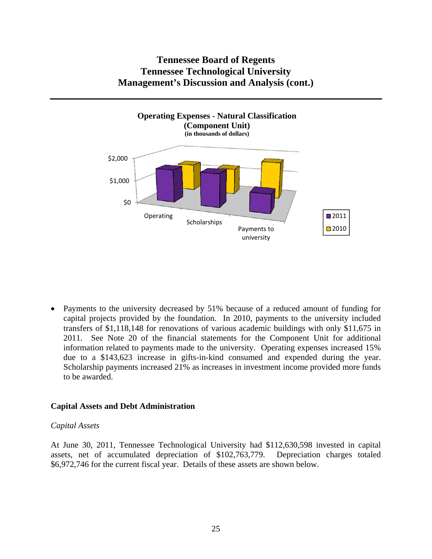

• Payments to the university decreased by 51% because of a reduced amount of funding for capital projects provided by the foundation. In 2010, payments to the university included transfers of \$1,118,148 for renovations of various academic buildings with only \$11,675 in 2011. See Note 20 of the financial statements for the Component Unit for additional information related to payments made to the university. Operating expenses increased 15% due to a \$143,623 increase in gifts-in-kind consumed and expended during the year. Scholarship payments increased 21% as increases in investment income provided more funds to be awarded.

## **Capital Assets and Debt Administration**

#### *Capital Assets*

At June 30, 2011, Tennessee Technological University had \$112,630,598 invested in capital assets, net of accumulated depreciation of \$102,763,779. Depreciation charges totaled \$6,972,746 for the current fiscal year. Details of these assets are shown below.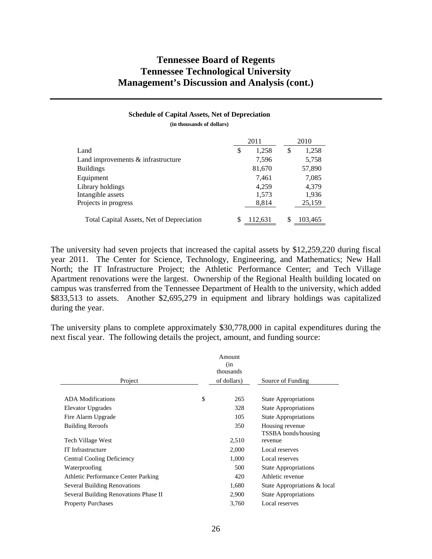|                                           |    | 2011    |    | 2010    |
|-------------------------------------------|----|---------|----|---------|
| Land                                      | \$ | 1,258   | \$ | 1,258   |
| Land improvements & infrastructure        |    | 7,596   |    | 5,758   |
| <b>Buildings</b>                          |    | 81,670  |    | 57,890  |
| Equipment                                 |    | 7,461   |    | 7,085   |
| Library holdings                          |    | 4,259   |    | 4,379   |
| Intangible assets                         |    | 1,573   |    | 1,936   |
| Projects in progress                      |    | 8,814   |    | 25,159  |
| Total Capital Assets, Net of Depreciation | S  | 112,631 | S  | 103,465 |

#### **Schedule of Capital Assets, Net of Depreciation (in thousands of dollars)**

The university had seven projects that increased the capital assets by \$12,259,220 during fiscal year 2011. The Center for Science, Technology, Engineering, and Mathematics; New Hall North; the IT Infrastructure Project; the Athletic Performance Center; and Tech Village Apartment renovations were the largest. Ownership of the Regional Health building located on campus was transferred from the Tennessee Department of Health to the university, which added \$833,513 to assets. Another \$2,695,279 in equipment and library holdings was capitalized during the year.

The university plans to complete approximately \$30,778,000 in capital expenditures during the next fiscal year. The following details the project, amount, and funding source:

| Project                                    | Amount<br>(in<br>thousands<br>of dollars) | Source of Funding                      |
|--------------------------------------------|-------------------------------------------|----------------------------------------|
| <b>ADA</b> Modifications                   | \$<br>265                                 | <b>State Appropriations</b>            |
| Elevator Upgrades                          | 328                                       | <b>State Appropriations</b>            |
| Fire Alarm Upgrade                         | 105                                       | <b>State Appropriations</b>            |
| <b>Building Reroofs</b>                    | 350                                       | Housing revenue<br>TSSBA bonds/housing |
| Tech Village West                          | 2,510                                     | revenue                                |
| <b>IT</b> Infrastructure                   | 2,000                                     | Local reserves                         |
| Central Cooling Deficiency                 | 1,000                                     | Local reserves                         |
| Waterproofing                              | 500                                       | <b>State Appropriations</b>            |
| <b>Athletic Performance Center Parking</b> | 420                                       | Athletic revenue                       |
| <b>Several Building Renovations</b>        | 1,680                                     | State Appropriations & local           |
| Several Building Renovations Phase II      | 2,900                                     | <b>State Appropriations</b>            |
| <b>Property Purchases</b>                  | 3,760                                     | Local reserves                         |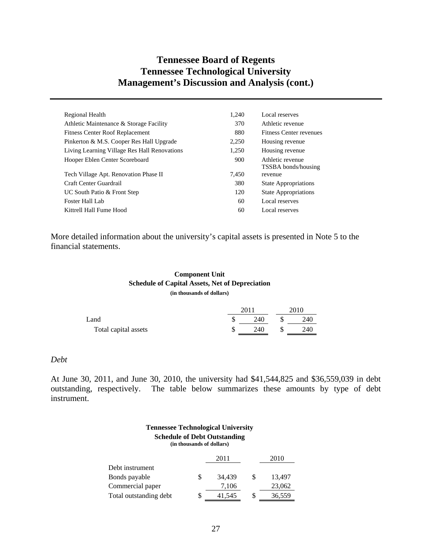| 1,240 | Local reserves                          |
|-------|-----------------------------------------|
| 370   | Athletic revenue                        |
| 880   | <b>Fitness Center revenues</b>          |
| 2,250 | Housing revenue                         |
| 1,250 | Housing revenue                         |
| 900   | Athletic revenue<br>TSSBA bonds/housing |
| 7.450 | revenue                                 |
| 380   | <b>State Appropriations</b>             |
| 120   | <b>State Appropriations</b>             |
| 60    | Local reserves                          |
| 60    | Local reserves                          |
|       |                                         |

More detailed information about the university's capital assets is presented in Note 5 to the financial statements.

#### **Component Unit Schedule of Capital Assets, Net of Depreciation (in thousands of dollars)**

|                      | 2011 | 2010 |
|----------------------|------|------|
| Land                 | 240  | 240  |
| Total capital assets | 240  | 240  |

#### *Debt*

At June 30, 2011, and June 30, 2010, the university had \$41,544,825 and \$36,559,039 in debt outstanding, respectively. The table below summarizes these amounts by type of debt instrument.

| <b>Tennessee Technological University</b><br><b>Schedule of Debt Outstanding</b><br>(in thousands of dollars) |  |        |   |        |  |  |
|---------------------------------------------------------------------------------------------------------------|--|--------|---|--------|--|--|
|                                                                                                               |  | 2011   |   | 2010   |  |  |
| Debt instrument                                                                                               |  |        |   |        |  |  |
| Bonds payable<br>S                                                                                            |  | 34.439 | S | 13,497 |  |  |
| Commercial paper<br>23,062<br>7,106                                                                           |  |        |   |        |  |  |
| 36,559<br>Total outstanding debt<br>\$<br>41,545                                                              |  |        |   |        |  |  |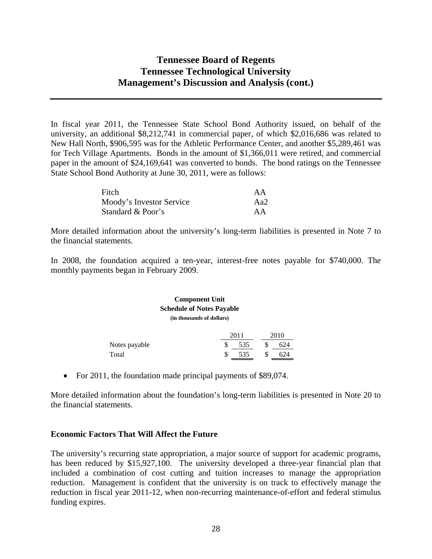In fiscal year 2011, the Tennessee State School Bond Authority issued, on behalf of the university, an additional \$8,212,741 in commercial paper, of which \$2,016,686 was related to New Hall North, \$906,595 was for the Athletic Performance Center, and another \$5,289,461 was for Tech Village Apartments. Bonds in the amount of \$1,366,011 were retired, and commercial paper in the amount of \$24,169,641 was converted to bonds. The bond ratings on the Tennessee State School Bond Authority at June 30, 2011, were as follows:

| Fitch                    | AA  |
|--------------------------|-----|
| Moody's Investor Service | Aa2 |
| Standard & Poor's        | AA  |

More detailed information about the university's long-term liabilities is presented in Note 7 to the financial statements.

In 2008, the foundation acquired a ten-year, interest-free notes payable for \$740,000. The monthly payments began in February 2009.

#### **Component Unit Schedule of Notes Payable (in thousands of dollars)**

|               | 2011 |     |   | 2010 |
|---------------|------|-----|---|------|
| Notes payable |      | 535 |   | 624  |
| Total         | Φ    | 535 | S |      |

• For 2011, the foundation made principal payments of \$89,074.

More detailed information about the foundation's long-term liabilities is presented in Note 20 to the financial statements.

## **Economic Factors That Will Affect the Future**

The university's recurring state appropriation, a major source of support for academic programs, has been reduced by \$15,927,100. The university developed a three-year financial plan that included a combination of cost cutting and tuition increases to manage the appropriation reduction. Management is confident that the university is on track to effectively manage the reduction in fiscal year 2011-12, when non-recurring maintenance-of-effort and federal stimulus funding expires.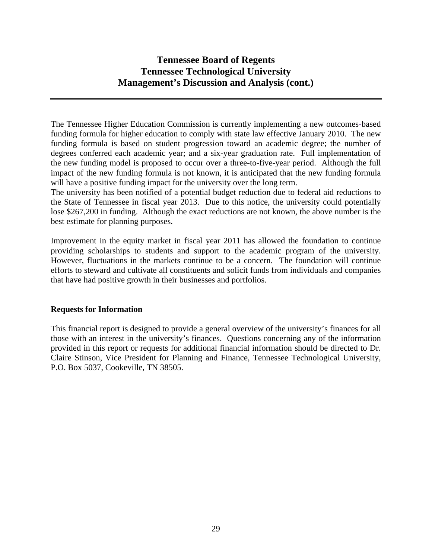The Tennessee Higher Education Commission is currently implementing a new outcomes-based funding formula for higher education to comply with state law effective January 2010. The new funding formula is based on student progression toward an academic degree; the number of degrees conferred each academic year; and a six-year graduation rate. Full implementation of the new funding model is proposed to occur over a three-to-five-year period. Although the full impact of the new funding formula is not known, it is anticipated that the new funding formula will have a positive funding impact for the university over the long term.

The university has been notified of a potential budget reduction due to federal aid reductions to the State of Tennessee in fiscal year 2013. Due to this notice, the university could potentially lose \$267,200 in funding. Although the exact reductions are not known, the above number is the best estimate for planning purposes.

Improvement in the equity market in fiscal year 2011 has allowed the foundation to continue providing scholarships to students and support to the academic program of the university. However, fluctuations in the markets continue to be a concern. The foundation will continue efforts to steward and cultivate all constituents and solicit funds from individuals and companies that have had positive growth in their businesses and portfolios.

## **Requests for Information**

This financial report is designed to provide a general overview of the university's finances for all those with an interest in the university's finances. Questions concerning any of the information provided in this report or requests for additional financial information should be directed to Dr. Claire Stinson, Vice President for Planning and Finance, Tennessee Technological University, P.O. Box 5037, Cookeville, TN 38505.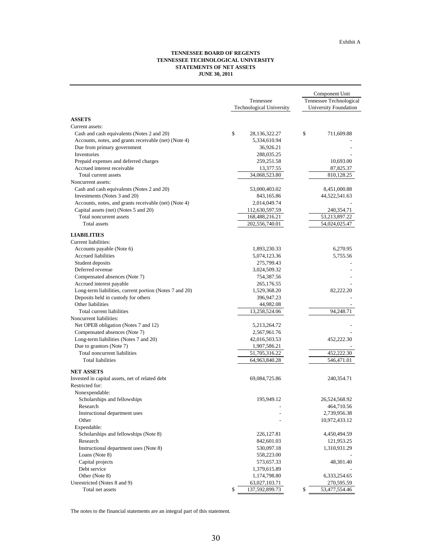#### **TENNESSEE BOARD OF REGENTS TENNESSEE TECHNOLOGICAL UNIVERSITY STATEMENTS OF NET ASSETS JUNE 30, 2011**

|                                                         |                                 | Component Unit               |
|---------------------------------------------------------|---------------------------------|------------------------------|
|                                                         | Tennessee                       | Tennessee Technological      |
|                                                         | <b>Technological University</b> | <b>University Foundation</b> |
|                                                         |                                 |                              |
| <b>ASSETS</b>                                           |                                 |                              |
| Current assets:                                         |                                 |                              |
| Cash and cash equivalents (Notes 2 and 20)              | \$<br>28,136,322.27             | \$<br>711,609.88             |
| Accounts, notes, and grants receivable (net) (Note 4)   | 5,334,610.94                    |                              |
| Due from primary government                             | 36,926.21                       |                              |
| Inventories                                             | 288,035.25                      |                              |
| Prepaid expenses and deferred charges                   | 259, 251.58                     | 10,693.00                    |
| Accrued interest receivable                             | 13,377.55                       | 87,825.37                    |
| Total current assets                                    | 34,068,523.80                   | 810,128.25                   |
| Noncurrent assets:                                      |                                 |                              |
| Cash and cash equivalents (Notes 2 and 20)              | 53,000,403.02                   | 8,451,000.88                 |
| Investments (Notes 3 and 20)                            | 843,165.86                      | 44,522,541.63                |
| Accounts, notes, and grants receivable (net) (Note 4)   | 2,014,049.74                    |                              |
| Capital assets (net) (Notes 5 and 20)                   | 112,630,597.59                  | 240,354.71                   |
| Total noncurrent assets                                 | 168,488,216.21                  | 53,213,897.22                |
| Total assets                                            | 202,556,740.01                  | 54,024,025.47                |
| <b>LIABILITIES</b>                                      |                                 |                              |
| Current liabilities:                                    |                                 |                              |
| Accounts payable (Note 6)                               | 1,893,230.33                    | 6,270.95                     |
| Accrued liabilities                                     | 5,074,123.36                    | 5,755.56                     |
| Student deposits                                        | 275,799.43                      |                              |
| Deferred revenue                                        | 3,024,509.32                    |                              |
| Compensated absences (Note 7)                           | 754,387.56                      |                              |
| Accrued interest payable                                | 265,176.55                      |                              |
| Long-term liabilities, current portion (Notes 7 and 20) | 1,529,368.20                    | 82,222.20                    |
| Deposits held in custody for others                     | 396,947.23                      |                              |
| Other liabilities                                       | 44,982.08                       |                              |
| Total current liabilities                               | 13,258,524.06                   | 94,248.71                    |
| Noncurrent liabilities:                                 |                                 |                              |
| Net OPEB obligation (Notes 7 and 12)                    | 5,213,264.72                    |                              |
| Compensated absences (Note 7)                           | 2,567,961.76                    |                              |
| Long-term liabilities (Notes 7 and 20)                  | 42,016,503.53                   | 452,222.30                   |
| Due to grantors (Note 7)                                | 1,907,586.21                    |                              |
| Total noncurrent liabilities                            | 51,705,316.22                   | 452,222.30                   |
| Total liabilities                                       | 64,963,840.28                   | 546,471.01                   |
|                                                         |                                 |                              |
| <b>NET ASSETS</b>                                       |                                 |                              |
| Invested in capital assets, net of related debt         | 69,084,725.86                   | 240,354.71                   |
| Restricted for:                                         |                                 |                              |
| Nonexpendable:                                          |                                 |                              |
| Scholarships and fellowships                            | 195,949.12                      | 26,524,568.92                |
| Research                                                |                                 | 464,710.56                   |
| Instructional department uses                           |                                 | 2,739,956.38                 |
| Other                                                   |                                 | 10,972,433.12                |
| Expendable:                                             |                                 |                              |
| Scholarships and fellowships (Note 8)                   | 226, 127.81                     | 4,450,494.59                 |
| Research                                                | 842,601.03                      | 121,953.25                   |
| Instructional department uses (Note 8)                  | 530,097.18                      | 1,310,931.29                 |
| Loans (Note 8)                                          | 558,223.00                      |                              |
| Capital projects                                        | 573,657.33                      | 48,301.40                    |
| Debt service                                            | 1,379,615.89                    |                              |
| Other (Note 8)                                          | 1,174,798.80                    | 6,333,254.65                 |
| Unrestricted (Notes 8 and 9)                            | 63,027,103.71                   | 270,595.59                   |
| Total net assets                                        | 137,592,899.73<br>\$            | \$<br>53,477,554.46          |

The notes to the financial statements are an integral part of this statement.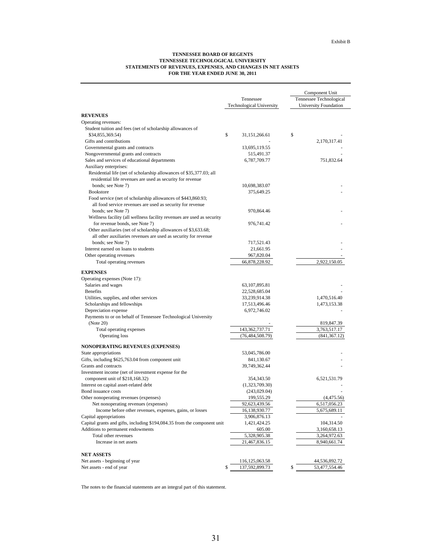#### **TENNESSEE BOARD OF REGENTS TENNESSEE TECHNOLOGICAL UNIVERSITY STATEMENTS OF REVENUES, EXPENSES, AND CHANGES IN NET ASSETS FOR THE YEAR ENDED JUNE 30, 2011**

|                                                                          | Tennessee<br>Technological University    | Component Unit<br>Tennessee Technological<br>University Foundation |
|--------------------------------------------------------------------------|------------------------------------------|--------------------------------------------------------------------|
|                                                                          |                                          |                                                                    |
| <b>REVENUES</b><br>Operating revenues:                                   |                                          |                                                                    |
| Student tuition and fees (net of scholarship allowances of               |                                          |                                                                    |
| \$34,855,369.54)                                                         | \$<br>31,151,266.61                      | \$                                                                 |
| Gifts and contributions                                                  |                                          | 2,170,317.41                                                       |
| Governmental grants and contracts                                        | 13,695,119.55                            |                                                                    |
| Nongovernmental grants and contracts                                     | 515,491.37                               |                                                                    |
| Sales and services of educational departments                            | 6,787,709.77                             | 751,832.64                                                         |
| Auxiliary enterprises:                                                   |                                          |                                                                    |
| Residential life (net of scholarship allowances of \$35,377.03; all      |                                          |                                                                    |
| residential life revenues are used as security for revenue               |                                          |                                                                    |
| bonds; see Note 7)                                                       | 10,698,383.07                            |                                                                    |
| <b>Bookstore</b>                                                         | 375,649.25                               |                                                                    |
| Food service (net of scholarship allowances of \$443,860.93;             |                                          |                                                                    |
| all food service revenues are used as security for revenue               |                                          |                                                                    |
| bonds; see Note 7)                                                       | 970,864.46                               |                                                                    |
| Wellness facility (all wellness facility revenues are used as security   |                                          |                                                                    |
| for revenue bonds, see Note 7)                                           | 976,741.42                               |                                                                    |
| Other auxiliaries (net of scholarship allowances of \$3,633.68;          |                                          |                                                                    |
| all other auxiliaries revenues are used as security for revenue          |                                          |                                                                    |
| bonds; see Note 7)                                                       | 717,521.43                               |                                                                    |
| Interest earned on loans to students                                     | 21,661.95                                |                                                                    |
| Other operating revenues                                                 | 967,820.04                               |                                                                    |
| Total operating revenues                                                 | 66,878,228.92                            | 2.922.150.05                                                       |
| <b>EXPENSES</b>                                                          |                                          |                                                                    |
| Operating expenses (Note 17):                                            |                                          |                                                                    |
| Salaries and wages                                                       | 63, 107, 895. 81                         |                                                                    |
| <b>Benefits</b>                                                          | 22,528,685.04                            |                                                                    |
| Utilities, supplies, and other services                                  | 33,239,914.38                            | 1,470,516.40                                                       |
| Scholarships and fellowships                                             | 17,513,496.46                            | 1,473,153.38                                                       |
| Depreciation expense                                                     | 6,972,746.02                             |                                                                    |
| Payments to or on behalf of Tennessee Technological University           |                                          |                                                                    |
| (Note 20)                                                                |                                          | 819,847.39                                                         |
| Total operating expenses                                                 | 143,362,737.71                           | 3,763,517.17                                                       |
| Operating loss                                                           | (76, 484, 508.79)                        | (841, 367.12)                                                      |
| <b>NONOPERATING REVENUES (EXPENSES)</b>                                  |                                          |                                                                    |
| State appropriations                                                     | 53,045,786.00                            |                                                                    |
| Gifts, including \$625,763.04 from component unit                        | 841,130.67                               |                                                                    |
| Grants and contracts                                                     | 39,749,362.44                            |                                                                    |
| Investment income (net of investment expense for the                     |                                          |                                                                    |
| component unit of \$218,168.32)                                          | 354,343.50                               | 6,521,531.79                                                       |
| Interest on capital asset-related debt                                   | (1,323,709.30)                           |                                                                    |
| Bond issuance costs                                                      | (243, 029.04)                            |                                                                    |
| Other nonoperating revenues (expenses)                                   | 199,555.29                               | (4,475.56)                                                         |
| Net nonoperating revenues (expenses)                                     | 92,623,439.56                            | 6.517.056.2                                                        |
| Income before other revenues, expenses, gains, or losses                 | 16,138,930.77                            | 5,675,689.11                                                       |
| Capital appropriations                                                   | 3,906,876.13                             |                                                                    |
| Capital grants and gifts, including \$194,084.35 from the component unit | 1,421,424.25                             | 104,314.50                                                         |
| Additions to permanent endowments                                        | 605.00                                   | 3,160,658.13                                                       |
| Total other revenues                                                     | 5,328,905.38                             | 3,264,972.63                                                       |
| Increase in net assets                                                   | 21,467,836.15                            | 8,940,661.74                                                       |
|                                                                          |                                          |                                                                    |
| NET ASSETS<br>Net assets - beginning of year                             |                                          |                                                                    |
| Net assets - end of year                                                 | 116, 125, 063.58<br>137,592,899.73<br>\$ | 44,536,892.72<br>\$<br>53,477,554.46                               |

The notes to the financial statements are an integral part of this statement.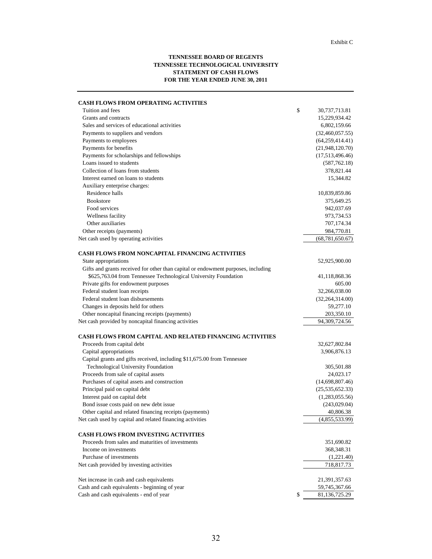#### **TENNESSEE BOARD OF REGENTS TENNESSEE TECHNOLOGICAL UNIVERSITY STATEMENT OF CASH FLOWS FOR THE YEAR ENDED JUNE 30, 2011**

| <b>CASH FLOWS FROM OPERATING ACTIVITIES</b>                                       |                     |
|-----------------------------------------------------------------------------------|---------------------|
| Tuition and fees                                                                  | \$<br>30,737,713.81 |
| Grants and contracts                                                              | 15,229,934.42       |
| Sales and services of educational activities                                      | 6,802,159.66        |
| Payments to suppliers and vendors                                                 | (32,460,057.55)     |
| Payments to employees                                                             | (64, 259, 414.41)   |
| Payments for benefits                                                             | (21,948,120.70)     |
| Payments for scholarships and fellowships                                         | (17,513,496.46)     |
| Loans issued to students                                                          | (587,762.18)        |
| Collection of loans from students                                                 | 378,821.44          |
| Interest earned on loans to students                                              | 15,344.82           |
| Auxiliary enterprise charges:                                                     |                     |
| Residence halls                                                                   | 10,839,859.86       |
| <b>Bookstore</b>                                                                  | 375,649.25          |
| Food services                                                                     | 942,037.69          |
| Wellness facility                                                                 | 973,734.53          |
| Other auxiliaries                                                                 | 707,174.34          |
| Other receipts (payments)                                                         | 984,770.81          |
| Net cash used by operating activities                                             | (68, 781, 650.67)   |
| <b>CASH FLOWS FROM NONCAPITAL FINANCING ACTIVITIES</b>                            |                     |
| State appropriations                                                              | 52,925,900.00       |
| Gifts and grants received for other than capital or endowment purposes, including |                     |
| \$625,763.04 from Tennessee Technological University Foundation                   | 41,118,868.36       |
| Private gifts for endowment purposes                                              | 605.00              |
| Federal student loan receipts                                                     | 32,266,038.00       |
| Federal student loan disbursements                                                | (32, 264, 314.00)   |
| Changes in deposits held for others                                               | 59,277.10           |
| Other noncapital financing receipts (payments)                                    | 203,350.10          |
| Net cash provided by noncapital financing activities                              | 94,309,724.56       |
| <b>CASH FLOWS FROM CAPITAL AND RELATED FINANCING ACTIVITIES</b>                   |                     |
| Proceeds from capital debt                                                        | 32,627,802.84       |
| Capital appropriations                                                            | 3,906,876.13        |
| Capital grants and gifts received, including \$11,675.00 from Tennessee           |                     |
| Technological University Foundation                                               | 305,501.88          |
| Proceeds from sale of capital assets                                              | 24,023.17           |
| Purchases of capital assets and construction                                      | (14,698,807.46)     |
| Principal paid on capital debt                                                    | (25, 535, 652.33)   |
| Interest paid on capital debt                                                     | (1,283,055.56)      |
| Bond issue costs paid on new debt issue                                           | (243, 029.04)       |
| Other capital and related financing receipts (payments)                           | 40,806.38           |
| Net cash used by capital and related financing activities                         | (4,855,533.99)      |
| <b>CASH FLOWS FROM INVESTING ACTIVITIES</b>                                       |                     |
| Proceeds from sales and maturities of investments                                 |                     |
| Income on investments                                                             | 351,690.82          |
|                                                                                   | 368,348.31          |
| Purchase of investments                                                           | (1,221.40)          |
| Net cash provided by investing activities                                         | 718,817.73          |
| Net increase in cash and cash equivalents                                         | 21,391,357.63       |
| Cash and cash equivalents - beginning of year                                     | 59,745,367.66       |
| Cash and cash equivalents - end of year                                           | \$<br>81,136,725.29 |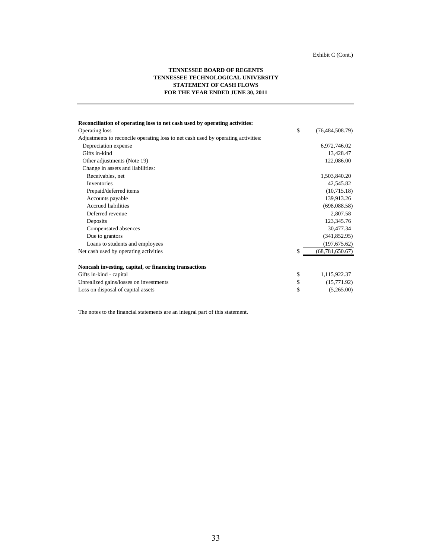#### **STATEMENT OF CASH FLOWS FOR THE YEAR ENDED JUNE 30, 2011 TENNESSEE BOARD OF REGENTS TENNESSEE TECHNOLOGICAL UNIVERSITY**

| Reconciliation of operating loss to net cash used by operating activities:        |                         |
|-----------------------------------------------------------------------------------|-------------------------|
| Operating loss                                                                    | \$<br>(76, 484, 508.79) |
| Adjustments to reconcile operating loss to net cash used by operating activities: |                         |
| Depreciation expense                                                              | 6,972,746.02            |
| Gifts in-kind                                                                     | 13,428.47               |
| Other adjustments (Note 19)                                                       | 122,086.00              |
| Change in assets and liabilities:                                                 |                         |
| Receivables, net                                                                  | 1,503,840.20            |
| <b>Inventories</b>                                                                | 42,545.82               |
| Prepaid/deferred items                                                            | (10,715.18)             |
| Accounts payable                                                                  | 139,913.26              |
| Accrued liabilities                                                               | (698,088.58)            |
| Deferred revenue                                                                  | 2,807.58                |
| Deposits                                                                          | 123,345.76              |
| Compensated absences                                                              | 30,477.34               |
| Due to grantors                                                                   | (341, 852.95)           |
| Loans to students and employees                                                   | (197, 675.62)           |
| Net cash used by operating activities                                             | \$<br>(68, 781, 650.67) |
| Noncash investing, capital, or financing transactions                             |                         |
| Gifts in-kind - capital                                                           | \$<br>1,115,922.37      |
| Unrealized gains/losses on investments                                            | \$<br>(15,771.92)       |
| Loss on disposal of capital assets                                                | \$<br>(5,265.00)        |

The notes to the financial statements are an integral part of this statement.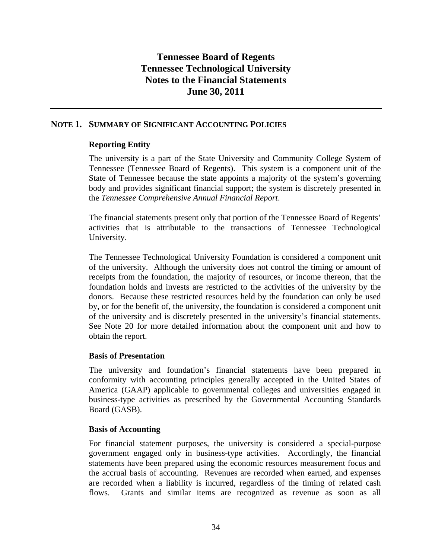## **NOTE 1. SUMMARY OF SIGNIFICANT ACCOUNTING POLICIES**

## **Reporting Entity**

The university is a part of the State University and Community College System of Tennessee (Tennessee Board of Regents). This system is a component unit of the State of Tennessee because the state appoints a majority of the system's governing body and provides significant financial support; the system is discretely presented in the *Tennessee Comprehensive Annual Financial Report*.

The financial statements present only that portion of the Tennessee Board of Regents' activities that is attributable to the transactions of Tennessee Technological University.

The Tennessee Technological University Foundation is considered a component unit of the university. Although the university does not control the timing or amount of receipts from the foundation, the majority of resources, or income thereon, that the foundation holds and invests are restricted to the activities of the university by the donors. Because these restricted resources held by the foundation can only be used by, or for the benefit of, the university, the foundation is considered a component unit of the university and is discretely presented in the university's financial statements. See Note 20 for more detailed information about the component unit and how to obtain the report.

## **Basis of Presentation**

The university and foundation's financial statements have been prepared in conformity with accounting principles generally accepted in the United States of America (GAAP) applicable to governmental colleges and universities engaged in business-type activities as prescribed by the Governmental Accounting Standards Board (GASB).

## **Basis of Accounting**

For financial statement purposes, the university is considered a special-purpose government engaged only in business-type activities. Accordingly, the financial statements have been prepared using the economic resources measurement focus and the accrual basis of accounting. Revenues are recorded when earned, and expenses are recorded when a liability is incurred, regardless of the timing of related cash flows. Grants and similar items are recognized as revenue as soon as all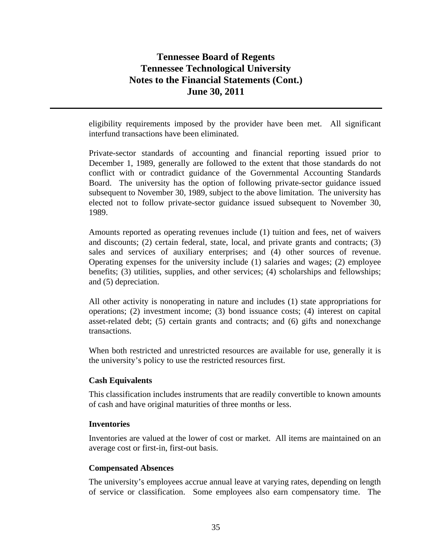eligibility requirements imposed by the provider have been met. All significant interfund transactions have been eliminated.

Private-sector standards of accounting and financial reporting issued prior to December 1, 1989, generally are followed to the extent that those standards do not conflict with or contradict guidance of the Governmental Accounting Standards Board. The university has the option of following private-sector guidance issued subsequent to November 30, 1989, subject to the above limitation. The university has elected not to follow private-sector guidance issued subsequent to November 30, 1989.

Amounts reported as operating revenues include (1) tuition and fees, net of waivers and discounts; (2) certain federal, state, local, and private grants and contracts; (3) sales and services of auxiliary enterprises; and (4) other sources of revenue. Operating expenses for the university include (1) salaries and wages; (2) employee benefits; (3) utilities, supplies, and other services; (4) scholarships and fellowships; and (5) depreciation.

All other activity is nonoperating in nature and includes (1) state appropriations for operations; (2) investment income; (3) bond issuance costs; (4) interest on capital asset-related debt; (5) certain grants and contracts; and (6) gifts and nonexchange transactions.

When both restricted and unrestricted resources are available for use, generally it is the university's policy to use the restricted resources first.

## **Cash Equivalents**

This classification includes instruments that are readily convertible to known amounts of cash and have original maturities of three months or less.

#### **Inventories**

Inventories are valued at the lower of cost or market. All items are maintained on an average cost or first-in, first-out basis.

#### **Compensated Absences**

The university's employees accrue annual leave at varying rates, depending on length of service or classification. Some employees also earn compensatory time. The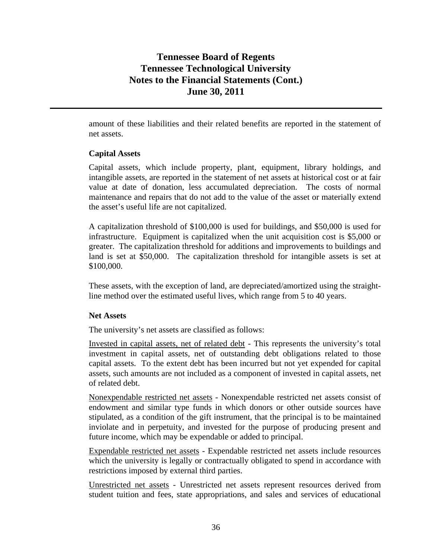amount of these liabilities and their related benefits are reported in the statement of net assets.

## **Capital Assets**

Capital assets, which include property, plant, equipment, library holdings, and intangible assets, are reported in the statement of net assets at historical cost or at fair value at date of donation, less accumulated depreciation. The costs of normal maintenance and repairs that do not add to the value of the asset or materially extend the asset's useful life are not capitalized.

A capitalization threshold of \$100,000 is used for buildings, and \$50,000 is used for infrastructure. Equipment is capitalized when the unit acquisition cost is \$5,000 or greater. The capitalization threshold for additions and improvements to buildings and land is set at \$50,000. The capitalization threshold for intangible assets is set at \$100,000.

These assets, with the exception of land, are depreciated/amortized using the straightline method over the estimated useful lives, which range from 5 to 40 years.

## **Net Assets**

The university's net assets are classified as follows:

Invested in capital assets, net of related debt - This represents the university's total investment in capital assets, net of outstanding debt obligations related to those capital assets. To the extent debt has been incurred but not yet expended for capital assets, such amounts are not included as a component of invested in capital assets, net of related debt.

Nonexpendable restricted net assets - Nonexpendable restricted net assets consist of endowment and similar type funds in which donors or other outside sources have stipulated, as a condition of the gift instrument, that the principal is to be maintained inviolate and in perpetuity, and invested for the purpose of producing present and future income, which may be expendable or added to principal.

Expendable restricted net assets - Expendable restricted net assets include resources which the university is legally or contractually obligated to spend in accordance with restrictions imposed by external third parties.

Unrestricted net assets - Unrestricted net assets represent resources derived from student tuition and fees, state appropriations, and sales and services of educational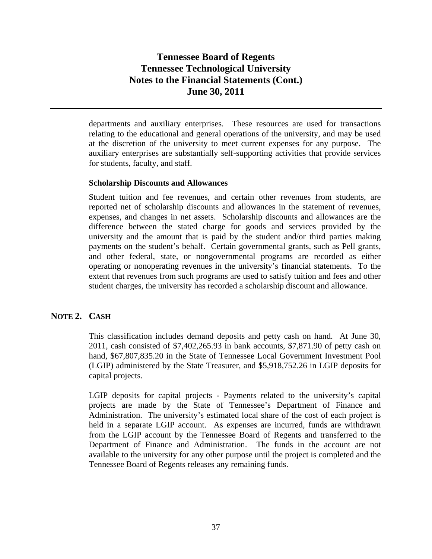departments and auxiliary enterprises. These resources are used for transactions relating to the educational and general operations of the university, and may be used at the discretion of the university to meet current expenses for any purpose. The auxiliary enterprises are substantially self-supporting activities that provide services for students, faculty, and staff.

#### **Scholarship Discounts and Allowances**

Student tuition and fee revenues, and certain other revenues from students, are reported net of scholarship discounts and allowances in the statement of revenues, expenses, and changes in net assets. Scholarship discounts and allowances are the difference between the stated charge for goods and services provided by the university and the amount that is paid by the student and/or third parties making payments on the student's behalf. Certain governmental grants, such as Pell grants, and other federal, state, or nongovernmental programs are recorded as either operating or nonoperating revenues in the university's financial statements. To the extent that revenues from such programs are used to satisfy tuition and fees and other student charges, the university has recorded a scholarship discount and allowance.

## **NOTE 2. CASH**

This classification includes demand deposits and petty cash on hand. At June 30, 2011, cash consisted of \$7,402,265.93 in bank accounts, \$7,871.90 of petty cash on hand, \$67,807,835.20 in the State of Tennessee Local Government Investment Pool (LGIP) administered by the State Treasurer, and \$5,918,752.26 in LGIP deposits for capital projects.

LGIP deposits for capital projects - Payments related to the university's capital projects are made by the State of Tennessee's Department of Finance and Administration. The university's estimated local share of the cost of each project is held in a separate LGIP account. As expenses are incurred, funds are withdrawn from the LGIP account by the Tennessee Board of Regents and transferred to the Department of Finance and Administration. The funds in the account are not available to the university for any other purpose until the project is completed and the Tennessee Board of Regents releases any remaining funds.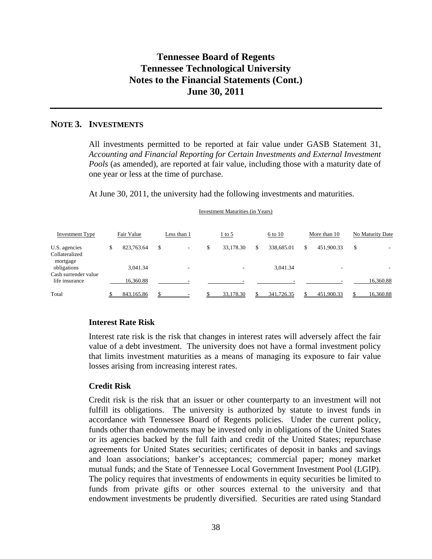## **NOTE 3. INVESTMENTS**

All investments permitted to be reported at fair value under GASB Statement 31, *Accounting and Financial Reporting for Certain Investments and External Investment Pools* (as amended)*,* are reported at fair value, including those with a maturity date of one year or less at the time of purchase.

At June 30, 2011, the university had the following investments and maturities.

| <b>Investment Type</b>              | Fair Value | Less than 1                    | $1$ to 5        |   | 6 to 10    | More than 10             | No Maturity Date |
|-------------------------------------|------------|--------------------------------|-----------------|---|------------|--------------------------|------------------|
| U.S. agencies                       | 823.763.64 | \$<br>$\overline{\phantom{a}}$ | \$<br>33,178.30 | S | 338,685.01 | 451,900.33               | \$               |
| Collateralized<br>mortgage          |            |                                |                 |   |            |                          |                  |
| obligations<br>Cash surrender value | 3.041.34   |                                | -               |   | 3.041.34   | $\overline{\phantom{a}}$ |                  |
| life insurance                      | 16.360.88  |                                |                 |   |            |                          | 16,360.88        |
| Total                               | 843,165.86 |                                | 33,178.30       |   | 341,726.35 | 451,900.33               | 16,360.88        |

#### Investment Maturities (in Years)

## **Interest Rate Risk**

Interest rate risk is the risk that changes in interest rates will adversely affect the fair value of a debt investment. The university does not have a formal investment policy that limits investment maturities as a means of managing its exposure to fair value losses arising from increasing interest rates.

## **Credit Risk**

Credit risk is the risk that an issuer or other counterparty to an investment will not fulfill its obligations. The university is authorized by statute to invest funds in accordance with Tennessee Board of Regents policies. Under the current policy, funds other than endowments may be invested only in obligations of the United States or its agencies backed by the full faith and credit of the United States; repurchase agreements for United States securities; certificates of deposit in banks and savings and loan associations; banker's acceptances; commercial paper; money market mutual funds; and the State of Tennessee Local Government Investment Pool (LGIP). The policy requires that investments of endowments in equity securities be limited to funds from private gifts or other sources external to the university and that endowment investments be prudently diversified. Securities are rated using Standard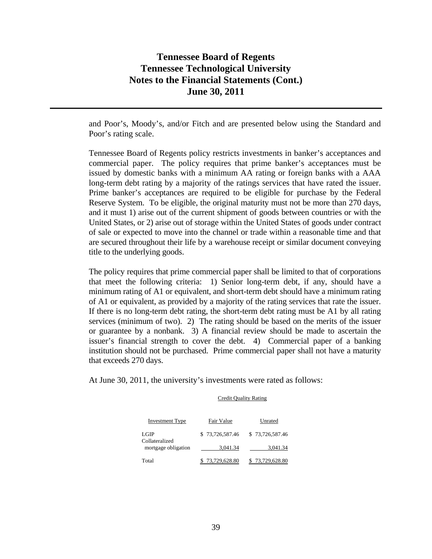and Poor's, Moody's, and/or Fitch and are presented below using the Standard and Poor's rating scale.

Tennessee Board of Regents policy restricts investments in banker's acceptances and commercial paper. The policy requires that prime banker's acceptances must be issued by domestic banks with a minimum AA rating or foreign banks with a AAA long-term debt rating by a majority of the ratings services that have rated the issuer. Prime banker's acceptances are required to be eligible for purchase by the Federal Reserve System. To be eligible, the original maturity must not be more than 270 days, and it must 1) arise out of the current shipment of goods between countries or with the United States, or 2) arise out of storage within the United States of goods under contract of sale or expected to move into the channel or trade within a reasonable time and that are secured throughout their life by a warehouse receipt or similar document conveying title to the underlying goods.

The policy requires that prime commercial paper shall be limited to that of corporations that meet the following criteria: 1) Senior long-term debt, if any, should have a minimum rating of A1 or equivalent, and short-term debt should have a minimum rating of A1 or equivalent, as provided by a majority of the rating services that rate the issuer. If there is no long-term debt rating, the short-term debt rating must be A1 by all rating services (minimum of two). 2) The rating should be based on the merits of the issuer or guarantee by a nonbank. 3) A financial review should be made to ascertain the issuer's financial strength to cover the debt. 4) Commercial paper of a banking institution should not be purchased. Prime commercial paper shall not have a maturity that exceeds 270 days.

At June 30, 2011, the university's investments were rated as follows:

#### Credit Quality Rating

| <b>Investment Type</b>                | Fair Value      | Unrated         |
|---------------------------------------|-----------------|-----------------|
| LGIP                                  | \$73,726,587.46 | \$73,726,587.46 |
| Collateralized<br>mortgage obligation | 3,041.34        | 3,041.34        |
| Total                                 | 73.729.628.80   | 73.729.628.80   |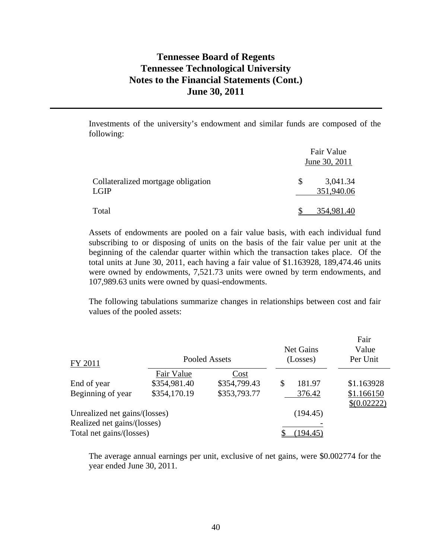Investments of the university's endowment and similar funds are composed of the following:

|                                            | Fair Value<br>June 30, 2011 |  |  |
|--------------------------------------------|-----------------------------|--|--|
| Collateralized mortgage obligation<br>LGIP | 3,041.34<br>S<br>351,940.06 |  |  |
| Total                                      | <u>354,981.40</u>           |  |  |

Assets of endowments are pooled on a fair value basis, with each individual fund subscribing to or disposing of units on the basis of the fair value per unit at the beginning of the calendar quarter within which the transaction takes place. Of the total units at June 30, 2011, each having a fair value of \$1.163928, 189,474.46 units were owned by endowments, 7,521.73 units were owned by term endowments, and 107,989.63 units were owned by quasi-endowments.

The following tabulations summarize changes in relationships between cost and fair values of the pooled assets:

| FY 2011                       |              | <b>Pooled Assets</b> | <b>Net Gains</b><br>(Losses) | Fair<br>Value<br>Per Unit  |
|-------------------------------|--------------|----------------------|------------------------------|----------------------------|
|                               | Fair Value   | Cost                 |                              |                            |
| End of year                   | \$354,981.40 | \$354,799.43         | 181.97<br>\$                 | \$1.163928                 |
| Beginning of year             | \$354,170.19 | \$353,793.77         | 376.42                       | \$1.166150<br>\$ (0.02222) |
| Unrealized net gains/(losses) |              |                      | (194.45)                     |                            |
| Realized net gains/(losses)   |              |                      |                              |                            |
| Total net gains/(losses)      |              |                      | 194.45)                      |                            |

The average annual earnings per unit, exclusive of net gains, were \$0.002774 for the year ended June 30, 2011.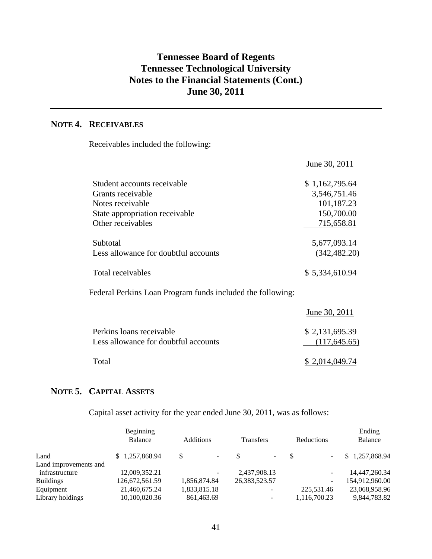## **NOTE 4. RECEIVABLES**

Receivables included the following:

|                                      | June 30, 2011  |
|--------------------------------------|----------------|
| Student accounts receivable          | \$1,162,795.64 |
| Grants receivable                    | 3,546,751.46   |
| Notes receivable                     | 101,187.23     |
| State appropriation receivable       | 150,700.00     |
| Other receivables                    | 715,658.81     |
| Subtotal                             | 5,677,093.14   |
| Less allowance for doubtful accounts | (342, 482.20)  |
| Total receivables                    |                |

Federal Perkins Loan Program funds included the following:

|                                                                  | June 30, 2011                   |
|------------------------------------------------------------------|---------------------------------|
| Perkins loans receivable<br>Less allowance for doubtful accounts | \$2,131,695.39<br>(117, 645.65) |
| Total                                                            | \$2,014,049.74                  |

## **NOTE 5. CAPITAL ASSETS**

Capital asset activity for the year ended June 30, 2011, was as follows:

|                       | Beginning<br>Balance | Additions                      | <b>Transfers</b>               | Reductions               | Ending<br>Balance |
|-----------------------|----------------------|--------------------------------|--------------------------------|--------------------------|-------------------|
| Land                  | \$1,257,868.94       | \$<br>$\overline{\phantom{a}}$ | S.<br>$\overline{\phantom{a}}$ | \$                       | \$1,257,868.94    |
| Land improvements and |                      |                                |                                |                          |                   |
| infrastructure        | 12,009,352.21        | -                              | 2,437,908.13                   | $\overline{\phantom{a}}$ | 14,447,260.34     |
| <b>Buildings</b>      | 126,672,561.59       | 1,856,874.84                   | 26, 383, 523. 57               | $\overline{\phantom{a}}$ | 154,912,960.00    |
| Equipment             | 21,460,675.24        | 1,833,815.18                   | -                              | 225,531.46               | 23,068,958.96     |
| Library holdings      | 10,100,020.36        | 861,463.69                     | $\overline{\phantom{0}}$       | 1,116,700.23             | 9,844,783.82      |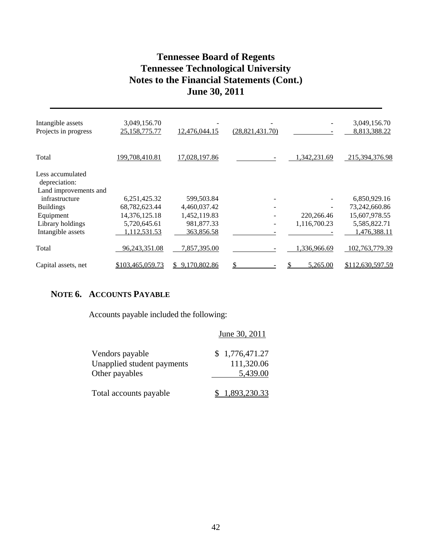| Intangible assets<br>Projects in progress                  | 3,049,156.70<br>25,158,775.77 | 12,476,044.15 | (28, 821, 431.70) |              | 3,049,156.70<br>8,813,388.22 |
|------------------------------------------------------------|-------------------------------|---------------|-------------------|--------------|------------------------------|
| Total                                                      | 199,708,410.81                | 17,028,197.86 |                   | 1,342,231.69 | 215,394,376.98               |
| Less accumulated<br>depreciation:<br>Land improvements and |                               |               |                   |              |                              |
| infrastructure                                             | 6,251,425.32                  | 599,503.84    |                   |              | 6,850,929.16                 |
| <b>Buildings</b>                                           | 68,782,623.44                 | 4,460,037.42  |                   |              | 73,242,660.86                |
| Equipment                                                  | 14,376,125.18                 | 1,452,119.83  |                   | 220,266.46   | 15,607,978.55                |
| Library holdings                                           | 5,720,645.61                  | 981,877.33    |                   | 1,116,700.23 | 5,585,822.71                 |
| Intangible assets                                          | 1,112,531.53                  | 363,856.58    |                   |              | 1,476,388.11                 |
| Total                                                      | 96,243,351.08                 | 7,857,395.00  |                   | 1,336,966.69 | 102,763,779.39               |
| Capital assets, net                                        | \$103,465,059.73              | 9,170,802.86  |                   | 5,265.00     | \$112,630,597.59             |

# **NOTE 6. ACCOUNTS PAYABLE**

Accounts payable included the following:

|                                                                 | June 30, 2011                            |
|-----------------------------------------------------------------|------------------------------------------|
| Vendors payable<br>Unapplied student payments<br>Other payables | \$1,776,471.27<br>111,320.06<br>5,439.00 |
| Total accounts payable                                          | 1,893,230.33                             |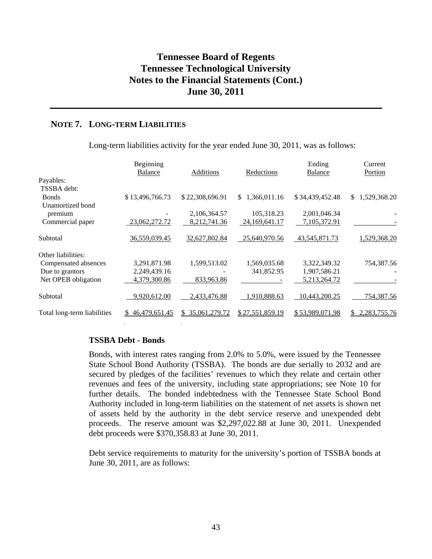## **NOTE 7. LONG-TERM LIABILITIES**

|                             | Beginning<br><b>Balance</b> | Additions           | Reductions             | Ending<br><b>Balance</b> | Current<br>Portion |
|-----------------------------|-----------------------------|---------------------|------------------------|--------------------------|--------------------|
| Payables:                   |                             |                     |                        |                          |                    |
| TSSBA debt:                 |                             |                     |                        |                          |                    |
| <b>Bonds</b>                | \$13,496,766.73             | \$22,308,696.91     | 1,366,011.16<br>\$.    | \$34,439,452.48          | 1,529,368.20<br>\$ |
| Unamortized bond            |                             |                     |                        |                          |                    |
| premium                     |                             | 2,106,364.57        | 105,318.23             | 2,001,046.34             |                    |
| Commercial paper            | 23,062,272.72               | 8,212,741.36        | 24, 169, 641. 17       | 7,105,372.91             |                    |
| Subtotal                    | 36,559,039.45               | 32,627,802.84       | 25,640,970.56          | 43,545,871.73            | 1,529,368.20       |
| Other liabilities:          |                             |                     |                        |                          |                    |
| Compensated absences        | 3,291,871.98                | 1,599,513.02        | 1,569,035.68           | 3,322,349.32             | 754,387.56         |
| Due to grantors             | 2,249,439.16                |                     | 341,852.95             | 1,907,586.21             |                    |
| Net OPEB obligation         | 4,379,300.86                | 833,963.86          |                        | 5, 213, 264. 72          |                    |
| Subtotal                    | 9,920,612.00                | 2,433,476.88        | 1,910,888.63           | 10,443,200.25            | 754,387.56         |
| Total long-term liabilities | \$46,479,651.45             | 35,061,279.72<br>S. | <u>\$27,551,859.19</u> | \$53,989,071.98          | 2,283,755.76<br>S  |
|                             |                             |                     |                        |                          |                    |

Long-term liabilities activity for the year ended June 30, 2011, was as follows:

## **TSSBA Debt - Bonds**

 $\mathcal{L}$ 

 $\sim 100$ 

Bonds, with interest rates ranging from 2.0% to 5.0%, were issued by the Tennessee State School Bond Authority (TSSBA). The bonds are due serially to 2032 and are secured by pledges of the facilities' revenues to which they relate and certain other revenues and fees of the university, including state appropriations; see Note 10 for further details. The bonded indebtedness with the Tennessee State School Bond Authority included in long-term liabilities on the statement of net assets is shown net of assets held by the authority in the debt service reserve and unexpended debt proceeds. The reserve amount was \$2,297,022.88 at June 30, 2011. Unexpended debt proceeds were \$370,358.83 at June 30, 2011.

Debt service requirements to maturity for the university's portion of TSSBA bonds at June 30, 2011, are as follows: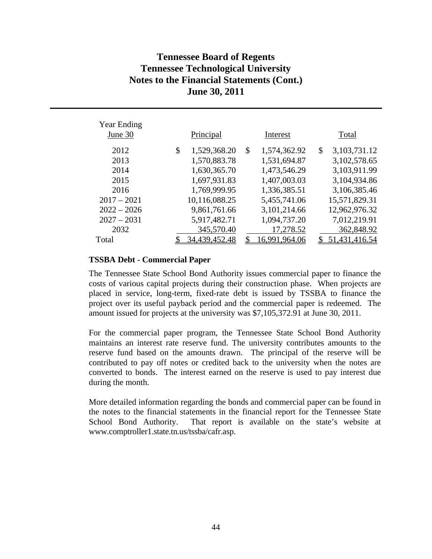| <b>Year Ending</b> |                    |                    |                       |
|--------------------|--------------------|--------------------|-----------------------|
| June 30            | Principal          | Interest           | Total                 |
| 2012               | \$<br>1,529,368.20 | \$<br>1,574,362.92 | \$<br>3, 103, 731. 12 |
| 2013               | 1,570,883.78       | 1,531,694.87       | 3,102,578.65          |
| 2014               | 1,630,365.70       | 1,473,546.29       | 3,103,911.99          |
| 2015               | 1,697,931.83       | 1,407,003.03       | 3,104,934.86          |
| 2016               | 1,769,999.95       | 1,336,385.51       | 3,106,385.46          |
| $2017 - 2021$      | 10,116,088.25      | 5,455,741.06       | 15,571,829.31         |
| $2022 - 2026$      | 9,861,761.66       | 3,101,214.66       | 12,962,976.32         |
| $2027 - 2031$      | 5,917,482.71       | 1,094,737.20       | 7,012,219.91          |
| 2032               | 345,570.40         | 17,278.52          | 362,848.92            |
| Total              | 34,439,452.48      | 16,991,964.06      | 51,431,416.54         |

## **TSSBA Debt - Commercial Paper**

The Tennessee State School Bond Authority issues commercial paper to finance the costs of various capital projects during their construction phase. When projects are placed in service, long-term, fixed-rate debt is issued by TSSBA to finance the project over its useful payback period and the commercial paper is redeemed. The amount issued for projects at the university was \$7,105,372.91 at June 30, 2011.

For the commercial paper program, the Tennessee State School Bond Authority maintains an interest rate reserve fund. The university contributes amounts to the reserve fund based on the amounts drawn. The principal of the reserve will be contributed to pay off notes or credited back to the university when the notes are converted to bonds. The interest earned on the reserve is used to pay interest due during the month.

More detailed information regarding the bonds and commercial paper can be found in the notes to the financial statements in the financial report for the Tennessee State School Bond Authority. That report is available on the state's website at www.comptroller1.state.tn.us/tssba/cafr.asp.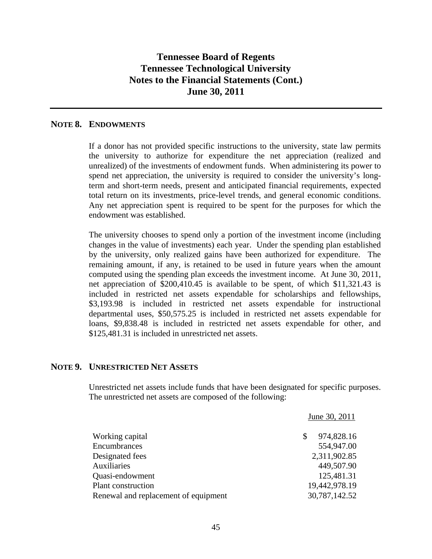## **NOTE 8. ENDOWMENTS**

If a donor has not provided specific instructions to the university, state law permits the university to authorize for expenditure the net appreciation (realized and unrealized) of the investments of endowment funds. When administering its power to spend net appreciation, the university is required to consider the university's longterm and short-term needs, present and anticipated financial requirements, expected total return on its investments, price-level trends, and general economic conditions. Any net appreciation spent is required to be spent for the purposes for which the endowment was established.

The university chooses to spend only a portion of the investment income (including changes in the value of investments) each year. Under the spending plan established by the university, only realized gains have been authorized for expenditure. The remaining amount, if any, is retained to be used in future years when the amount computed using the spending plan exceeds the investment income. At June 30, 2011, net appreciation of \$200,410.45 is available to be spent, of which \$11,321.43 is included in restricted net assets expendable for scholarships and fellowships, \$3,193.98 is included in restricted net assets expendable for instructional departmental uses, \$50,575.25 is included in restricted net assets expendable for loans, \$9,838.48 is included in restricted net assets expendable for other, and \$125,481.31 is included in unrestricted net assets.

#### **NOTE 9. UNRESTRICTED NET ASSETS**

Unrestricted net assets include funds that have been designated for specific purposes. The unrestricted net assets are composed of the following:

|                                      | June 30, 2011    |  |
|--------------------------------------|------------------|--|
| Working capital                      | 974,828.16<br>\$ |  |
| Encumbrances                         | 554,947.00       |  |
| Designated fees                      | 2,311,902.85     |  |
| Auxiliaries                          | 449,507.90       |  |
| Quasi-endowment                      | 125,481.31       |  |
| <b>Plant</b> construction            | 19,442,978.19    |  |
| Renewal and replacement of equipment | 30,787,142.52    |  |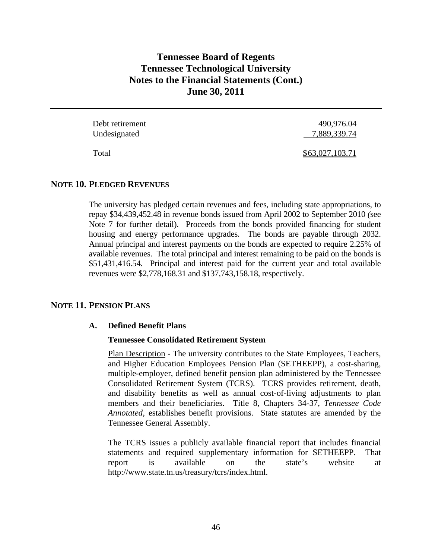| Debt retirement | 490,976.04      |
|-----------------|-----------------|
| Undesignated    | 7,889,339.74    |
| Total           | \$63,027,103.71 |

#### **NOTE 10. PLEDGED REVENUES**

The university has pledged certain revenues and fees, including state appropriations, to repay \$34,439,452.48 in revenue bonds issued from April 2002 to September 2010 *(*see Note 7 for further detail). Proceeds from the bonds provided financing for student housing and energy performance upgrades. The bonds are payable through 2032. Annual principal and interest payments on the bonds are expected to require 2.25% of available revenues. The total principal and interest remaining to be paid on the bonds is \$51,431,416.54. Principal and interest paid for the current year and total available revenues were \$2,778,168.31 and \$137,743,158.18, respectively.

#### **NOTE 11. PENSION PLANS**

#### **A. Defined Benefit Plans**

#### **Tennessee Consolidated Retirement System**

Plan Description - The university contributes to the State Employees, Teachers, and Higher Education Employees Pension Plan (SETHEEPP), a cost-sharing, multiple-employer, defined benefit pension plan administered by the Tennessee Consolidated Retirement System (TCRS). TCRS provides retirement, death, and disability benefits as well as annual cost-of-living adjustments to plan members and their beneficiaries. Title 8, Chapters 34-37, *Tennessee Code Annotated,* establishes benefit provisions. State statutes are amended by the Tennessee General Assembly.

The TCRS issues a publicly available financial report that includes financial statements and required supplementary information for SETHEEPP. That report is available on the state's website at http://www.state.tn.us/treasury/tcrs/index.html.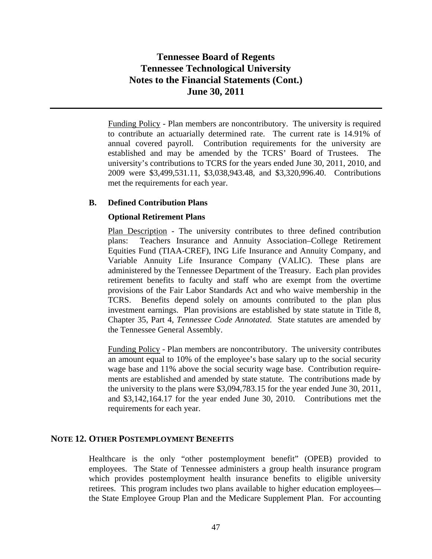Funding Policy - Plan members are noncontributory. The university is required to contribute an actuarially determined rate. The current rate is 14.91% of annual covered payroll. Contribution requirements for the university are established and may be amended by the TCRS' Board of Trustees. The university's contributions to TCRS for the years ended June 30, 2011, 2010, and 2009 were \$3,499,531.11, \$3,038,943.48, and \$3,320,996.40. Contributions met the requirements for each year.

#### **B. Defined Contribution Plans**

#### **Optional Retirement Plans**

Plan Description - The university contributes to three defined contribution plans: Teachers Insurance and Annuity Association–College Retirement Equities Fund (TIAA-CREF), ING Life Insurance and Annuity Company, and Variable Annuity Life Insurance Company (VALIC). These plans are administered by the Tennessee Department of the Treasury. Each plan provides retirement benefits to faculty and staff who are exempt from the overtime provisions of the Fair Labor Standards Act and who waive membership in the TCRS. Benefits depend solely on amounts contributed to the plan plus investment earnings. Plan provisions are established by state statute in Title 8, Chapter 35, Part 4, *Tennessee Code Annotated.* State statutes are amended by the Tennessee General Assembly.

Funding Policy - Plan members are noncontributory. The university contributes an amount equal to 10% of the employee's base salary up to the social security wage base and 11% above the social security wage base. Contribution requirements are established and amended by state statute. The contributions made by the university to the plans were \$3,094,783.15 for the year ended June 30, 2011, and \$3,142,164.17 for the year ended June 30, 2010. Contributions met the requirements for each year.

## **NOTE 12. OTHER POSTEMPLOYMENT BENEFITS**

Healthcare is the only "other postemployment benefit" (OPEB) provided to employees. The State of Tennessee administers a group health insurance program which provides postemployment health insurance benefits to eligible university retirees. This program includes two plans available to higher education employees the State Employee Group Plan and the Medicare Supplement Plan. For accounting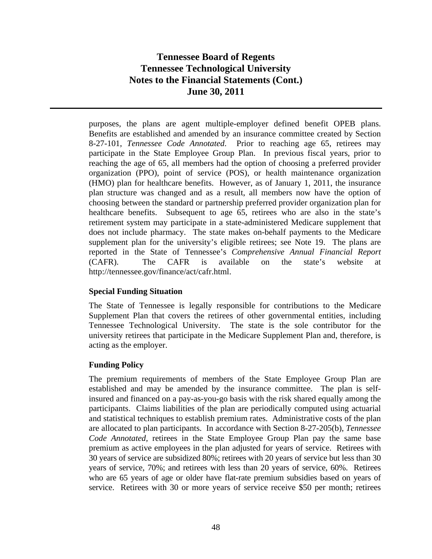purposes, the plans are agent multiple-employer defined benefit OPEB plans. Benefits are established and amended by an insurance committee created by Section 8-27-101, *Tennessee Code Annotated*. Prior to reaching age 65, retirees may participate in the State Employee Group Plan. In previous fiscal years, prior to reaching the age of 65, all members had the option of choosing a preferred provider organization (PPO), point of service (POS), or health maintenance organization (HMO) plan for healthcare benefits. However, as of January 1, 2011, the insurance plan structure was changed and as a result, all members now have the option of choosing between the standard or partnership preferred provider organization plan for healthcare benefits. Subsequent to age 65, retirees who are also in the state's retirement system may participate in a state-administered Medicare supplement that does not include pharmacy. The state makes on-behalf payments to the Medicare supplement plan for the university's eligible retirees; see Note 19.The plans are reported in the State of Tennessee's *Comprehensive Annual Financial Report*  (CAFR). The CAFR is available on the state's website at http://tennessee.gov/finance/act/cafr.html.

## **Special Funding Situation**

The State of Tennessee is legally responsible for contributions to the Medicare Supplement Plan that covers the retirees of other governmental entities, including Tennessee Technological University. The state is the sole contributor for the university retirees that participate in the Medicare Supplement Plan and, therefore, is acting as the employer.

## **Funding Policy**

The premium requirements of members of the State Employee Group Plan are established and may be amended by the insurance committee. The plan is selfinsured and financed on a pay-as-you-go basis with the risk shared equally among the participants. Claims liabilities of the plan are periodically computed using actuarial and statistical techniques to establish premium rates. Administrative costs of the plan are allocated to plan participants. In accordance with Section 8-27-205(b), *Tennessee Code Annotated,* retirees in the State Employee Group Plan pay the same base premium as active employees in the plan adjusted for years of service. Retirees with 30 years of service are subsidized 80%; retirees with 20 years of service but less than 30 years of service, 70%; and retirees with less than 20 years of service, 60%. Retirees who are 65 years of age or older have flat-rate premium subsidies based on years of service. Retirees with 30 or more years of service receive \$50 per month; retirees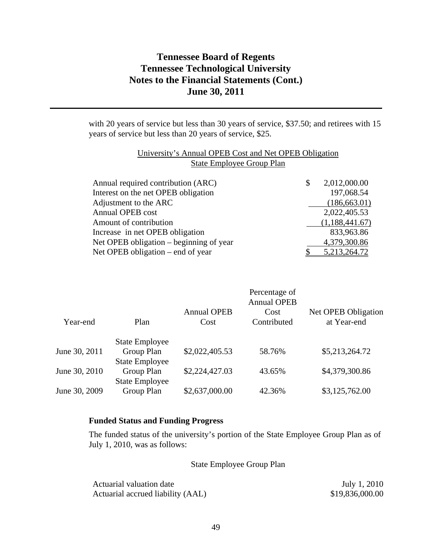with 20 years of service but less than 30 years of service, \$37.50; and retirees with 15 years of service but less than 20 years of service, \$25.

## University's Annual OPEB Cost and Net OPEB Obligation State Employee Group Plan

| Annual required contribution (ARC)      | 2,012,000.00   |
|-----------------------------------------|----------------|
| Interest on the net OPEB obligation     | 197,068.54     |
| Adjustment to the ARC                   | (186, 663.01)  |
| <b>Annual OPEB cost</b>                 | 2,022,405.53   |
| Amount of contribution                  | (1,188,441.67) |
| Increase in net OPEB obligation         | 833,963.86     |
| Net OPEB obligation – beginning of year | 4,379,300.86   |
| Net OPEB obligation – end of year       | 5,213,264.72   |
|                                         |                |

|               |                       | <b>Annual OPEB</b> | Cost        | Net OPEB Obligation |
|---------------|-----------------------|--------------------|-------------|---------------------|
| Year-end      | Plan                  | Cost               | Contributed | at Year-end         |
|               | <b>State Employee</b> |                    |             |                     |
| June 30, 2011 | Group Plan            | \$2,022,405.53     | 58.76%      | \$5,213,264.72      |
|               | <b>State Employee</b> |                    |             |                     |
| June 30, 2010 | Group Plan            | \$2,224,427.03     | 43.65%      | \$4,379,300.86      |
|               | <b>State Employee</b> |                    |             |                     |
| June 30, 2009 | Group Plan            | \$2,637,000.00     | 42.36%      | \$3,125,762.00      |

#### **Funded Status and Funding Progress**

The funded status of the university's portion of the State Employee Group Plan as of July 1, 2010, was as follows:

State Employee Group Plan

| Actuarial valuation date          | July 1, 2010    |
|-----------------------------------|-----------------|
| Actuarial accrued liability (AAL) | \$19,836,000.00 |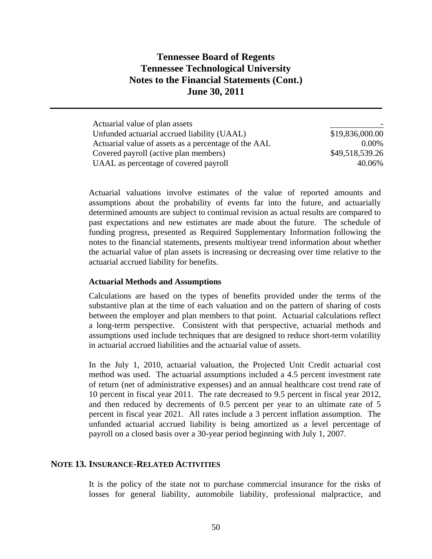| Actuarial value of plan assets                       |                 |
|------------------------------------------------------|-----------------|
| Unfunded actuarial accrued liability (UAAL)          | \$19,836,000.00 |
| Actuarial value of assets as a percentage of the AAL | $0.00\%$        |
| Covered payroll (active plan members)                | \$49,518,539.26 |
| UAAL as percentage of covered payroll                | 40.06%          |

Actuarial valuations involve estimates of the value of reported amounts and assumptions about the probability of events far into the future, and actuarially determined amounts are subject to continual revision as actual results are compared to past expectations and new estimates are made about the future. The schedule of funding progress, presented as Required Supplementary Information following the notes to the financial statements, presents multiyear trend information about whether the actuarial value of plan assets is increasing or decreasing over time relative to the actuarial accrued liability for benefits.

#### **Actuarial Methods and Assumptions**

Calculations are based on the types of benefits provided under the terms of the substantive plan at the time of each valuation and on the pattern of sharing of costs between the employer and plan members to that point. Actuarial calculations reflect a long-term perspective. Consistent with that perspective, actuarial methods and assumptions used include techniques that are designed to reduce short-term volatility in actuarial accrued liabilities and the actuarial value of assets.

In the July 1, 2010, actuarial valuation, the Projected Unit Credit actuarial cost method was used. The actuarial assumptions included a 4.5 percent investment rate of return (net of administrative expenses) and an annual healthcare cost trend rate of 10 percent in fiscal year 2011. The rate decreased to 9.5 percent in fiscal year 2012, and then reduced by decrements of 0.5 percent per year to an ultimate rate of 5 percent in fiscal year 2021. All rates include a 3 percent inflation assumption. The unfunded actuarial accrued liability is being amortized as a level percentage of payroll on a closed basis over a 30-year period beginning with July 1, 2007.

## **NOTE 13. INSURANCE-RELATED ACTIVITIES**

It is the policy of the state not to purchase commercial insurance for the risks of losses for general liability, automobile liability, professional malpractice, and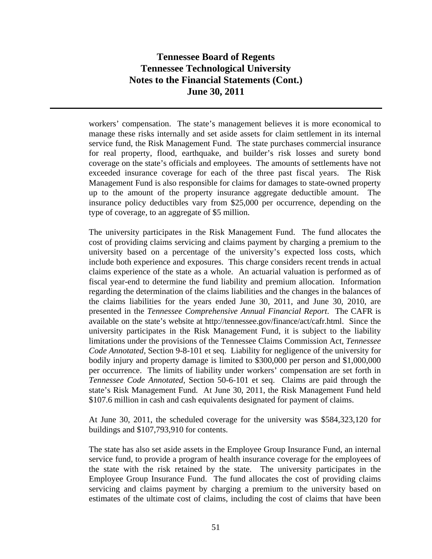workers' compensation. The state's management believes it is more economical to manage these risks internally and set aside assets for claim settlement in its internal service fund, the Risk Management Fund. The state purchases commercial insurance for real property, flood, earthquake, and builder's risk losses and surety bond coverage on the state's officials and employees. The amounts of settlements have not exceeded insurance coverage for each of the three past fiscal years. The Risk Management Fund is also responsible for claims for damages to state-owned property up to the amount of the property insurance aggregate deductible amount. The insurance policy deductibles vary from \$25,000 per occurrence, depending on the type of coverage, to an aggregate of \$5 million.

The university participates in the Risk Management Fund. The fund allocates the cost of providing claims servicing and claims payment by charging a premium to the university based on a percentage of the university's expected loss costs, which include both experience and exposures. This charge considers recent trends in actual claims experience of the state as a whole. An actuarial valuation is performed as of fiscal year-end to determine the fund liability and premium allocation. Information regarding the determination of the claims liabilities and the changes in the balances of the claims liabilities for the years ended June 30, 2011, and June 30, 2010, are presented in the *Tennessee Comprehensive Annual Financial Report*. The CAFR is available on the state's website at http://tennessee.gov/finance/act/cafr.html. Since the university participates in the Risk Management Fund, it is subject to the liability limitations under the provisions of the Tennessee Claims Commission Act, *Tennessee Code Annotated,* Section 9-8-101 et seq. Liability for negligence of the university for bodily injury and property damage is limited to \$300,000 per person and \$1,000,000 per occurrence. The limits of liability under workers' compensation are set forth in *Tennessee Code Annotated,* Section 50-6-101 et seq. Claims are paid through the state's Risk Management Fund. At June 30, 2011, the Risk Management Fund held \$107.6 million in cash and cash equivalents designated for payment of claims.

At June 30, 2011, the scheduled coverage for the university was \$584,323,120 for buildings and \$107,793,910 for contents.

The state has also set aside assets in the Employee Group Insurance Fund, an internal service fund, to provide a program of health insurance coverage for the employees of the state with the risk retained by the state. The university participates in the Employee Group Insurance Fund. The fund allocates the cost of providing claims servicing and claims payment by charging a premium to the university based on estimates of the ultimate cost of claims, including the cost of claims that have been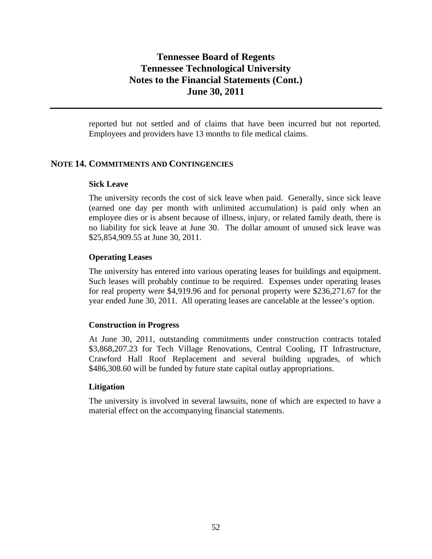reported but not settled and of claims that have been incurred but not reported. Employees and providers have 13 months to file medical claims.

## **NOTE 14. COMMITMENTS AND CONTINGENCIES**

#### **Sick Leave**

The university records the cost of sick leave when paid. Generally, since sick leave (earned one day per month with unlimited accumulation) is paid only when an employee dies or is absent because of illness, injury, or related family death, there is no liability for sick leave at June 30. The dollar amount of unused sick leave was \$25,854,909.55 at June 30, 2011.

## **Operating Leases**

The university has entered into various operating leases for buildings and equipment. Such leases will probably continue to be required. Expenses under operating leases for real property were \$4,919.96 and for personal property were \$236,271.67 for the year ended June 30, 2011. All operating leases are cancelable at the lessee's option.

## **Construction in Progress**

At June 30, 2011, outstanding commitments under construction contracts totaled \$3,868,207.23 for Tech Village Renovations, Central Cooling, IT Infrastructure, Crawford Hall Roof Replacement and several building upgrades, of which \$486,308.60 will be funded by future state capital outlay appropriations.

## **Litigation**

The university is involved in several lawsuits, none of which are expected to have a material effect on the accompanying financial statements.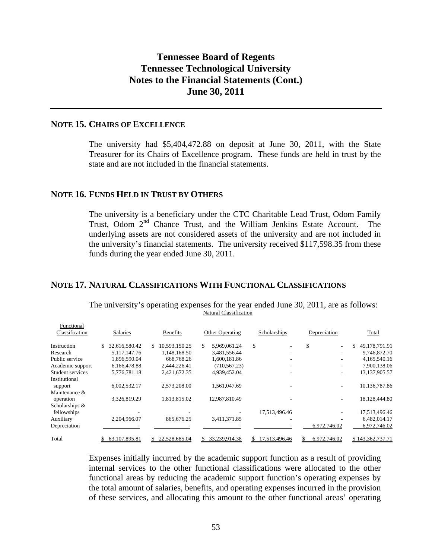## **NOTE 15. CHAIRS OF EXCELLENCE**

Functional

The university had \$5,404,472.88 on deposit at June 30, 2011, with the State Treasurer for its Chairs of Excellence program. These funds are held in trust by the state and are not included in the financial statements.

#### **NOTE 16. FUNDS HELD IN TRUST BY OTHERS**

The university is a beneficiary under the CTC Charitable Lead Trust, Odom Family Trust, Odom 2<sup>nd</sup> Chance Trust, and the William Jenkins Estate Account. The underlying assets are not considered assets of the university and are not included in the university's financial statements. The university received \$117,598.35 from these funds during the year ended June 30, 2011.

#### **NOTE 17. NATURAL CLASSIFICATIONS WITH FUNCTIONAL CLASSIFICATIONS**

The university's operating expenses for the year ended June 30, 2011, are as follows: Natural Classification

| 1 uncuonai       |                     |                     |                      |                          |                                |                     |
|------------------|---------------------|---------------------|----------------------|--------------------------|--------------------------------|---------------------|
| Classification   | Salaries            | <b>Benefits</b>     | Other Operating      | Scholarships             | Depreciation                   | Total               |
| Instruction      | 32.616.580.42<br>\$ | 10.593.150.25<br>S. | 5.969.061.24<br>S    | \$                       | \$<br>$\overline{\phantom{0}}$ | 49.178.791.91<br>\$ |
| Research         | 5,117,147.76        | 1,148,168.50        | 3,481,556.44         |                          |                                | 9,746,872.70        |
| Public service   | 1,896,590.04        | 668,768.26          | 1,600,181.86         | $\overline{\phantom{0}}$ | ٠                              | 4,165,540.16        |
| Academic support | 6,166,478.88        | 2.444.226.41        | (710, 567, 23)       |                          | ۰                              | 7,900,138.06        |
| Student services | 5,776,781.18        | 2,421,672.35        | 4,939,452.04         |                          | ۰                              | 13,137,905.57       |
| Institutional    |                     |                     |                      |                          |                                |                     |
| support          | 6,002,532.17        | 2.573.208.00        | 1.561.047.69         |                          | ۰                              | 10,136,787.86       |
| Maintenance &    |                     |                     |                      |                          |                                |                     |
| operation        | 3,326,819.29        | 1.813.815.02        | 12.987.810.49        |                          | ۰.                             | 18.128.444.80       |
| Scholarships &   |                     |                     |                      |                          |                                |                     |
| fellowships      |                     |                     |                      | 17,513,496.46            | ۰                              | 17,513,496.46       |
| Auxiliary        | 2,204,966.07        | 865,676.25          | 3,411,371.85         |                          |                                | 6,482,014.17        |
| Depreciation     |                     |                     |                      |                          | 6.972.746.02                   | 6,972,746.02        |
| Total            | 63.107.895.81       | 22,528,685.04       | 33.239.914.38<br>\$. | 17.513.496.46<br>S.      | 6.972.746.02                   | \$143,362,737.71    |

Expenses initially incurred by the academic support function as a result of providing internal services to the other functional classifications were allocated to the other functional areas by reducing the academic support function's operating expenses by the total amount of salaries, benefits, and operating expenses incurred in the provision of these services, and allocating this amount to the other functional areas' operating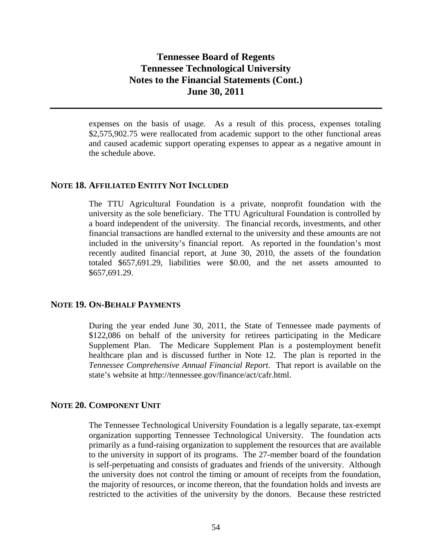expenses on the basis of usage. As a result of this process, expenses totaling \$2,575,902.75 were reallocated from academic support to the other functional areas and caused academic support operating expenses to appear as a negative amount in the schedule above.

#### **NOTE 18. AFFILIATED ENTITY NOT INCLUDED**

The TTU Agricultural Foundation is a private, nonprofit foundation with the university as the sole beneficiary. The TTU Agricultural Foundation is controlled by a board independent of the university. The financial records, investments, and other financial transactions are handled external to the university and these amounts are not included in the university's financial report. As reported in the foundation's most recently audited financial report, at June 30, 2010, the assets of the foundation totaled \$657,691.29, liabilities were \$0.00, and the net assets amounted to \$657,691.29.

#### **NOTE 19. ON-BEHALF PAYMENTS**

During the year ended June 30, 2011, the State of Tennessee made payments of \$122,086 on behalf of the university for retirees participating in the Medicare Supplement Plan. The Medicare Supplement Plan is a postemployment benefit healthcare plan and is discussed further in Note 12. The plan is reported in the *Tennessee Comprehensive Annual Financial Report*. That report is available on the state's website at http://tennessee.gov/finance/act/cafr.html.

## **NOTE 20. COMPONENT UNIT**

The Tennessee Technological University Foundation is a legally separate, tax-exempt organization supporting Tennessee Technological University. The foundation acts primarily as a fund-raising organization to supplement the resources that are available to the university in support of its programs. The 27-member board of the foundation is self-perpetuating and consists of graduates and friends of the university. Although the university does not control the timing or amount of receipts from the foundation, the majority of resources, or income thereon, that the foundation holds and invests are restricted to the activities of the university by the donors. Because these restricted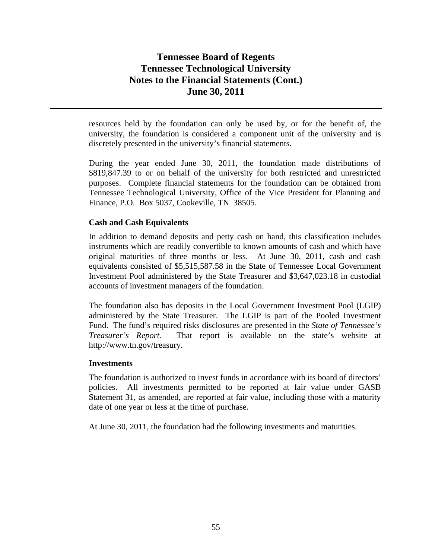resources held by the foundation can only be used by, or for the benefit of, the university, the foundation is considered a component unit of the university and is discretely presented in the university's financial statements.

During the year ended June 30, 2011, the foundation made distributions of \$819,847.39 to or on behalf of the university for both restricted and unrestricted purposes. Complete financial statements for the foundation can be obtained from Tennessee Technological University, Office of the Vice President for Planning and Finance, P.O. Box 5037, Cookeville, TN 38505.

## **Cash and Cash Equivalents**

In addition to demand deposits and petty cash on hand, this classification includes instruments which are readily convertible to known amounts of cash and which have original maturities of three months or less. At June 30, 2011, cash and cash equivalents consisted of \$5,515,587.58 in the State of Tennessee Local Government Investment Pool administered by the State Treasurer and \$3,647,023.18 in custodial accounts of investment managers of the foundation.

The foundation also has deposits in the Local Government Investment Pool (LGIP) administered by the State Treasurer. The LGIP is part of the Pooled Investment Fund. The fund's required risks disclosures are presented in the *State of Tennessee's Treasurer's Report.* That report is available on the state's website at http://www.tn.gov/treasury.

## **Investments**

The foundation is authorized to invest funds in accordance with its board of directors' policies. All investments permitted to be reported at fair value under GASB Statement 31, as amended, are reported at fair value, including those with a maturity date of one year or less at the time of purchase.

At June 30, 2011, the foundation had the following investments and maturities.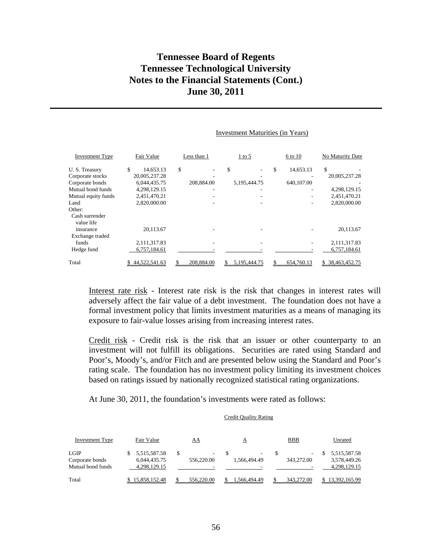Investment Maturities (in Years)

| <b>Investment Type</b>       | Fair Value      | Less than 1 | $1$ to 5     | 6 to 10         | No Maturity Date     |
|------------------------------|-----------------|-------------|--------------|-----------------|----------------------|
| U. S. Treasury               | \$<br>14,653.13 | \$          | \$           | \$<br>14,653.13 | \$                   |
| Corporate stocks             | 20,005,237.28   |             |              |                 | 20,005,237.28        |
| Corporate bonds              | 6.044.435.75    | 208,884.00  | 5,195,444.75 | 640,107.00      |                      |
| Mutual bond funds            | 4,298,129.15    |             |              |                 | 4,298,129.15         |
| Mutual equity funds          | 2,451,470.21    |             |              |                 | 2,451,470.21         |
| Land                         | 2.820,000.00    |             |              |                 | 2,820,000.00         |
| Other:                       |                 |             |              |                 |                      |
| Cash surrender<br>value life |                 |             |              |                 |                      |
| insurance                    | 20.113.67       |             |              |                 | 20.113.67            |
| Exchange traded              |                 |             |              |                 |                      |
| funds                        | 2,111,317.83    |             |              |                 | 2,111,317.83         |
| Hedge fund                   | 6,757,184.61    |             |              |                 | 6,757,184.61         |
| Total                        | 44,522,541.63   | 208,884.00  | 5.195.444.75 | 654,760.13      | 38,463,452.75<br>\$. |

Interest rate risk - Interest rate risk is the risk that changes in interest rates will adversely affect the fair value of a debt investment. The foundation does not have a formal investment policy that limits investment maturities as a means of managing its exposure to fair-value losses arising from increasing interest rates.

Credit risk - Credit risk is the risk that an issuer or other counterparty to an investment will not fulfill its obligations. Securities are rated using Standard and Poor's, Moody's, and/or Fitch and are presented below using the Standard and Poor's rating scale. The foundation has no investment policy limiting its investment choices based on ratings issued by nationally recognized statistical rating organizations.

At June 30, 2011, the foundation's investments were rated as follows:

#### Credit Quality Rating

| Investment Type                              | Fair Value                                   | AA              | А                 | <b>BBB</b>       | Unrated                                      |
|----------------------------------------------|----------------------------------------------|-----------------|-------------------|------------------|----------------------------------------------|
| LGIP<br>Corporate bonds<br>Mutual bond funds | 5,515,587.58<br>6,044,435.75<br>4.298.129.15 | -<br>556,220.00 | ۰<br>1,566,494.49 | ٠.<br>343,272.00 | 5,515,587.58<br>3,578,449.26<br>4.298.129.15 |
| Total                                        | 15.858.152.48                                | 556,220.00      | .566.494.49       | 343,272.00       | \$13,392,165.99                              |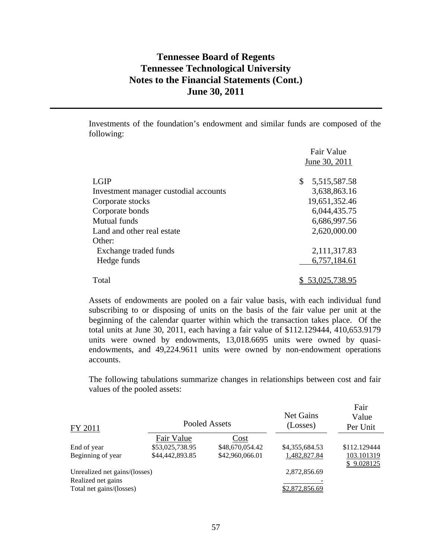Investments of the foundation's endowment and similar funds are composed of the following:

|                                       | Fair Value            |
|---------------------------------------|-----------------------|
|                                       | June 30, 2011         |
| <b>LGIP</b>                           | S.<br>5, 515, 587. 58 |
| Investment manager custodial accounts | 3,638,863.16          |
| Corporate stocks                      | 19,651,352.46         |
| Corporate bonds                       | 6,044,435.75          |
| Mutual funds                          | 6,686,997.56          |
| Land and other real estate            | 2,620,000.00          |
| Other:                                |                       |
| Exchange traded funds                 | 2,111,317.83          |
| Hedge funds                           | 6,757,184.61          |
| Total                                 |                       |

Assets of endowments are pooled on a fair value basis, with each individual fund subscribing to or disposing of units on the basis of the fair value per unit at the beginning of the calendar quarter within which the transaction takes place. Of the total units at June 30, 2011, each having a fair value of \$112.129444, 410,653.9179 units were owned by endowments, 13,018.6695 units were owned by quasiendowments, and 49,224.9611 units were owned by non-endowment operations accounts.

The following tabulations summarize changes in relationships between cost and fair values of the pooled assets:

|                 |                               | Net Gains<br>(Losses) | Fair<br>Value<br>Per Unit |  |
|-----------------|-------------------------------|-----------------------|---------------------------|--|
| Fair Value      | Cost                          |                       |                           |  |
| \$53,025,738.95 | \$48,670,054.42               | \$4,355,684.53        | \$112.129444              |  |
| \$44,442,893.85 | \$42,960,066.01               | 1,482,827.84          | 103.101319<br>\$9.028125  |  |
|                 |                               | 2,872,856.69          |                           |  |
|                 |                               |                       |                           |  |
|                 |                               | \$2,872,856.69        |                           |  |
|                 | Unrealized net gains/(losses) | Pooled Assets         |                           |  |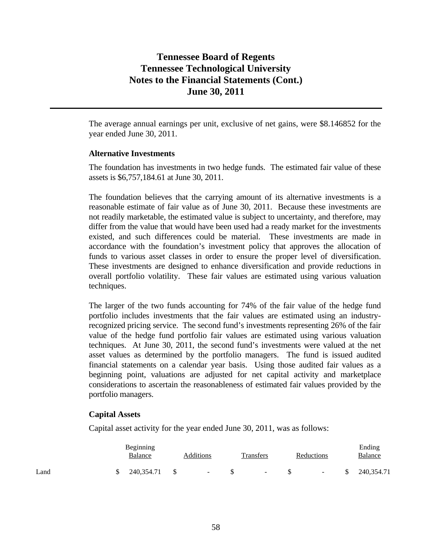The average annual earnings per unit, exclusive of net gains, were \$8.146852 for the year ended June 30, 2011.

#### **Alternative Investments**

The foundation has investments in two hedge funds. The estimated fair value of these assets is \$6,757,184.61 at June 30, 2011.

The foundation believes that the carrying amount of its alternative investments is a reasonable estimate of fair value as of June 30, 2011. Because these investments are not readily marketable, the estimated value is subject to uncertainty, and therefore, may differ from the value that would have been used had a ready market for the investments existed, and such differences could be material. These investments are made in accordance with the foundation's investment policy that approves the allocation of funds to various asset classes in order to ensure the proper level of diversification. These investments are designed to enhance diversification and provide reductions in overall portfolio volatility. These fair values are estimated using various valuation techniques.

The larger of the two funds accounting for 74% of the fair value of the hedge fund portfolio includes investments that the fair values are estimated using an industryrecognized pricing service. The second fund's investments representing 26% of the fair value of the hedge fund portfolio fair values are estimated using various valuation techniques. At June 30, 2011, the second fund's investments were valued at the net asset values as determined by the portfolio managers. The fund is issued audited financial statements on a calendar year basis. Using those audited fair values as a beginning point, valuations are adjusted for net capital activity and marketplace considerations to ascertain the reasonableness of estimated fair values provided by the portfolio managers.

#### **Capital Assets**

Capital asset activity for the year ended June 30, 2011, was as follows:

|      | Beginning<br>Balance |              | Additions | <b>Transfers</b> | Reductions | Ending<br><b>Balance</b> |
|------|----------------------|--------------|-----------|------------------|------------|--------------------------|
| Land | \$<br>240,354.71     | <sup>S</sup> | $\sim$    | $\sim$           | $\sim$     | $\frac{\$}{240,354.71}$  |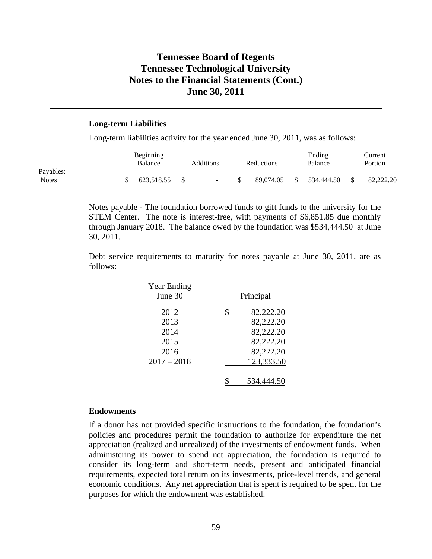#### **Long-term Liabilities**

Long-term liabilities activity for the year ended June 30, 2011, was as follows:

|                           | <b>Beginning</b><br>Balance |            | Additions | Reductions |  | Ending<br><b>Balance</b> |     | Current<br>Portion |           |
|---------------------------|-----------------------------|------------|-----------|------------|--|--------------------------|-----|--------------------|-----------|
| Payables:<br><b>Notes</b> |                             | 623.518.55 |           | $\sim$     |  | 89,074,05                | \$. | 534.444.50         | 82,222,20 |

Notes payable - The foundation borrowed funds to gift funds to the university for the STEM Center. The note is interest-free, with payments of \$6,851.85 due monthly through January 2018. The balance owed by the foundation was \$534,444.50 at June 30, 2011.

Debt service requirements to maturity for notes payable at June 30, 2011, are as follows:

| <b>Year Ending</b><br>June 30 | Principal       |
|-------------------------------|-----------------|
| 2012                          | \$<br>82,222.20 |
| 2013                          | 82,222.20       |
| 2014                          | 82,222.20       |
| 2015                          | 82,222.20       |
| 2016                          | 82,222.20       |
| $2017 - 2018$                 | 123,333.50      |
|                               |                 |
|                               |                 |

#### **Endowments**

If a donor has not provided specific instructions to the foundation, the foundation's policies and procedures permit the foundation to authorize for expenditure the net appreciation (realized and unrealized) of the investments of endowment funds. When administering its power to spend net appreciation, the foundation is required to consider its long-term and short-term needs, present and anticipated financial requirements, expected total return on its investments, price-level trends, and general economic conditions. Any net appreciation that is spent is required to be spent for the purposes for which the endowment was established.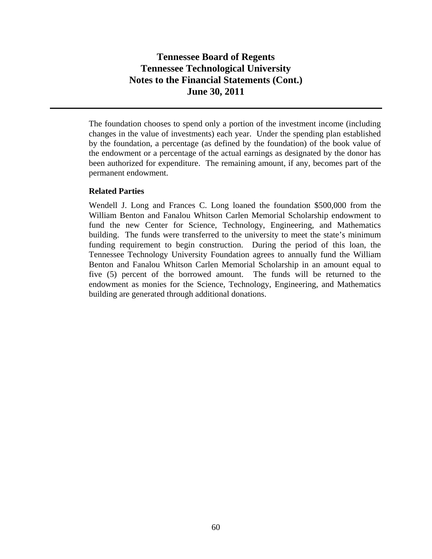The foundation chooses to spend only a portion of the investment income (including changes in the value of investments) each year. Under the spending plan established by the foundation, a percentage (as defined by the foundation) of the book value of the endowment or a percentage of the actual earnings as designated by the donor has been authorized for expenditure. The remaining amount, if any, becomes part of the permanent endowment.

## **Related Parties**

Wendell J. Long and Frances C. Long loaned the foundation \$500,000 from the William Benton and Fanalou Whitson Carlen Memorial Scholarship endowment to fund the new Center for Science, Technology, Engineering, and Mathematics building. The funds were transferred to the university to meet the state's minimum funding requirement to begin construction. During the period of this loan, the Tennessee Technology University Foundation agrees to annually fund the William Benton and Fanalou Whitson Carlen Memorial Scholarship in an amount equal to five (5) percent of the borrowed amount. The funds will be returned to the endowment as monies for the Science, Technology, Engineering, and Mathematics building are generated through additional donations.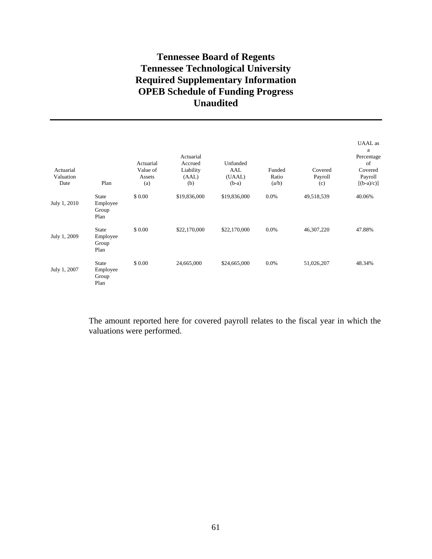# **Tennessee Board of Regents Tennessee Technological University Required Supplementary Information OPEB Schedule of Funding Progress Unaudited**

| Actuarial<br>Valuation<br>Date | Plan                                      | Actuarial<br>Value of<br>Assets<br>(a) | Actuarial<br>Accrued<br>Liability<br>(AAL)<br>(b) | Unfunded<br>AAL<br>(UAAL)<br>$(b-a)$ | Funded<br>Ratio<br>(a/b) | Covered<br>Payroll<br>(c) | <b>UAAL</b> as<br>a<br>Percentage<br>of<br>Covered<br>Payroll<br>$[(b-a)/c)]$ |
|--------------------------------|-------------------------------------------|----------------------------------------|---------------------------------------------------|--------------------------------------|--------------------------|---------------------------|-------------------------------------------------------------------------------|
| July 1, 2010                   | <b>State</b><br>Employee<br>Group<br>Plan | \$0.00                                 | \$19,836,000                                      | \$19,836,000                         | 0.0%                     | 49,518,539                | 40.06%                                                                        |
| July 1, 2009                   | <b>State</b><br>Employee<br>Group<br>Plan | \$0.00                                 | \$22,170,000                                      | \$22,170,000                         | $0.0\%$                  | 46, 307, 220              | 47.88%                                                                        |
| July 1, 2007                   | <b>State</b><br>Employee<br>Group<br>Plan | \$0.00                                 | 24,665,000                                        | \$24,665,000                         | 0.0%                     | 51,026,207                | 48.34%                                                                        |

The amount reported here for covered payroll relates to the fiscal year in which the valuations were performed.